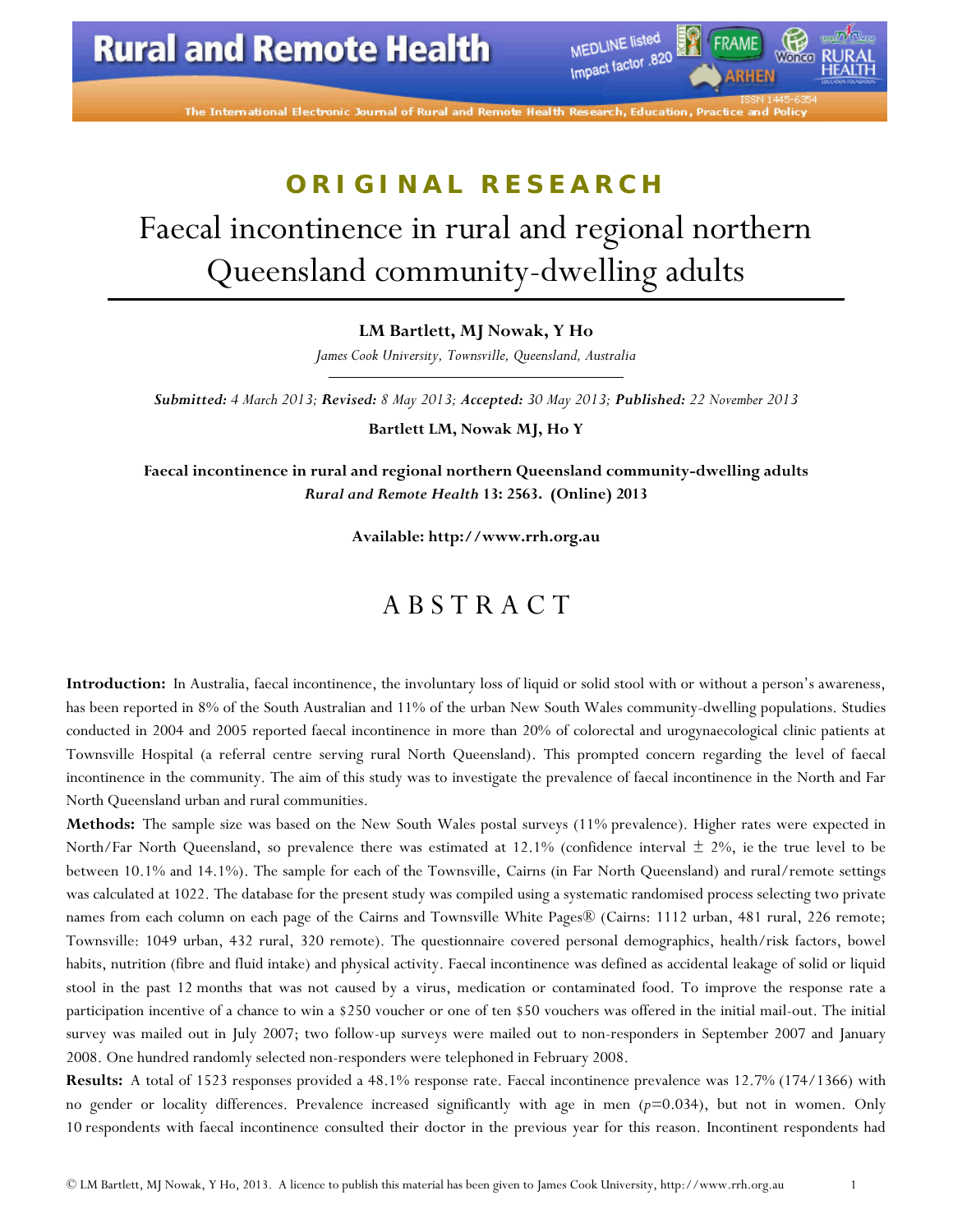The International Electronic Journal of Rural and Ren

MEDLINE listed

Impact factor .820

Wonco

# **ORIGINAL RESEARCH** Faecal incontinence in rural and regional northern Queensland community-dwelling adults

**LM Bartlett, MJ Nowak, Y Ho**

*James Cook University, Townsville, Queensland, Australia*

*Submitted: 4 March 2013; Revised: 8 May 2013; Accepted: 30 May 2013; Published: 22 November 2013*

**Bartlett LM, Nowak MJ, Ho Y**

**Faecal incontinence in rural and regional northern Queensland community-dwelling adults** *Rural and Remote Health* **13: 2563. (Online) 2013**

**Available: [http://www.rrh.org.au](http://www.rrh.org.au/)**

### A B S T R A C T

**[Introduction:](http://www.rrh.org.au/articles/showarticlenew.asp?ArticleID=2563#intro)** In Australia, faecal incontinence, the involuntary loss of liquid or solid stool with or without a person's awareness, has been reported in 8% of the South Australian and 11% of the urban New South Wales community-dwelling populations. Studies conducted in 2004 and 2005 reported faecal incontinence in more than 20% of colorectal and urogynaecological clinic patients at Townsville Hospital (a referral centre serving rural North Queensland). This prompted concern regarding the level of faecal incontinence in the community. The aim of this study was to investigate the prevalence of faecal incontinence in the North and Far North Queensland urban and rural communities.

**[Methods:](http://www.rrh.org.au/articles/showarticlenew.asp?ArticleID=2563#methods)** The sample size was based on the New South Wales postal surveys (11% prevalence). Higher rates were expected in North/Far North Queensland, so prevalence there was estimated at 12.1% (confidence interval  $\pm$  2%, ie the true level to be between 10.1% and 14.1%). The sample for each of the Townsville, Cairns (in Far North Queensland) and rural/remote settings was calculated at 1022. The database for the present study was compiled using a systematic randomised process selecting two private names from each column on each page of the Cairns and Townsville White Pages® (Cairns: 1112 urban, 481 rural, 226 remote; Townsville: 1049 urban, 432 rural, 320 remote). The questionnaire covered personal demographics, health/risk factors, bowel habits, nutrition (fibre and fluid intake) and physical activity. Faecal incontinence was defined as accidental leakage of solid or liquid stool in the past 12 months that was not caused by a virus, medication or contaminated food. To improve the response rate a participation incentive of a chance to win a \$250 voucher or one of ten \$50 vouchers was offered in the initial mail-out. The initial survey was mailed out in July 2007; two follow-up surveys were mailed out to non-responders in September 2007 and January 2008. One hundred randomly selected non-responders were telephoned in February 2008.

**[Results:](http://www.rrh.org.au/articles/showarticlenew.asp?ArticleID=2563#results)** A total of 1523 responses provided a 48.1% response rate. Faecal incontinence prevalence was 12.7% (174/1366) with no gender or locality differences. Prevalence increased significantly with age in men (*p=*0.034), but not in women. Only 10 respondents with faecal incontinence consulted their doctor in the previous year for this reason. Incontinent respondents had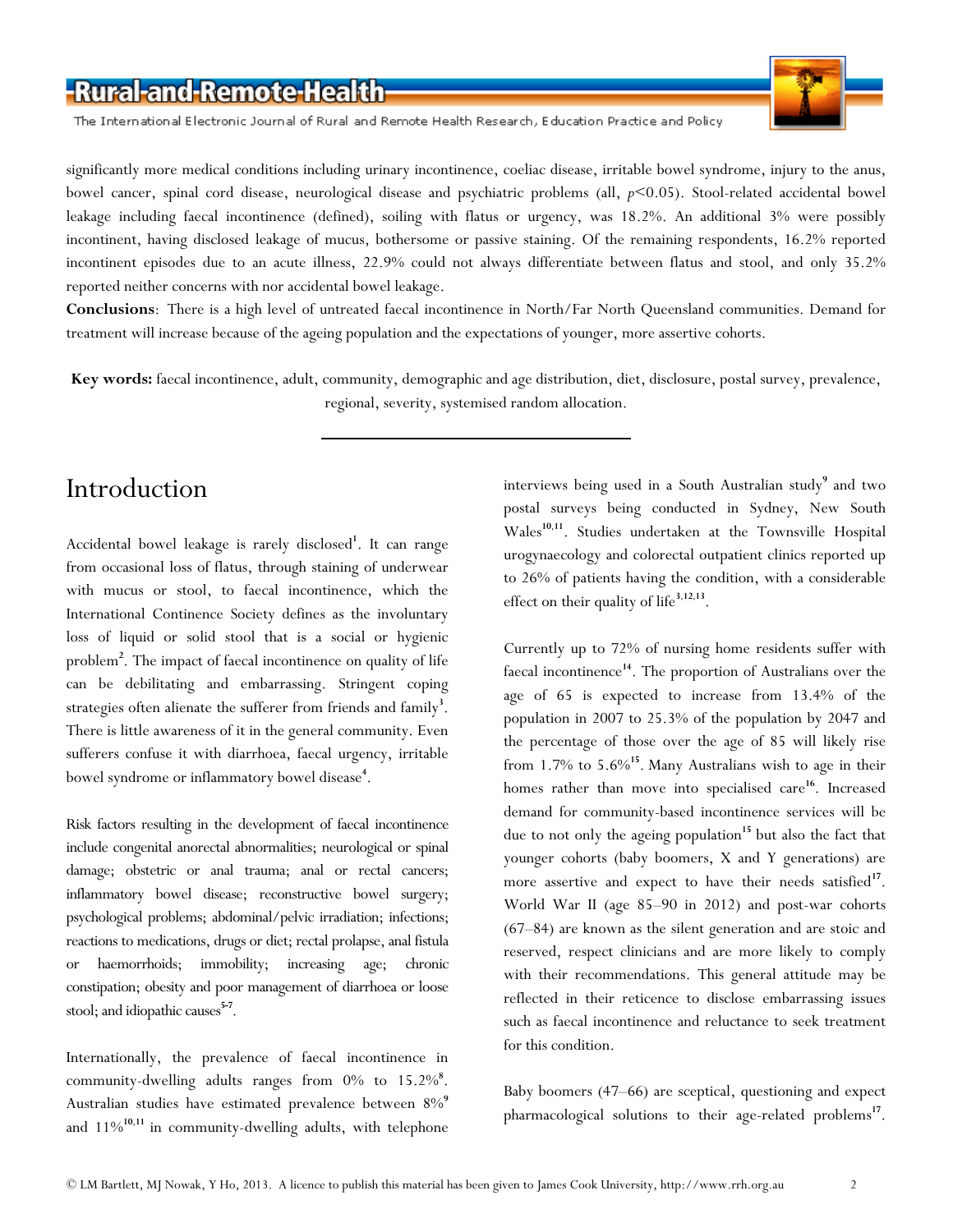The International Electronic Journal of Rural and Remote Health Research, Education Practice and Policy



significantly more medical conditions including urinary incontinence, coeliac disease, irritable bowel syndrome, injury to the anus, bowel cancer, spinal cord disease, neurological disease and psychiatric problems (all, *p<*0.05). Stool-related accidental bowel leakage including faecal incontinence (defined), soiling with flatus or urgency, was 18.2%. An additional 3% were possibly incontinent, having disclosed leakage of mucus, bothersome or passive staining. Of the remaining respondents, 16.2% reported incontinent episodes due to an acute illness, 22.9% could not always differentiate between flatus and stool, and only 35.2% reported neither concerns with nor accidental bowel leakage.

**[Conclusions](http://www.rrh.org.au/articles/showarticlenew.asp?ArticleID=2563#conc)**: There is a high level of untreated faecal incontinence in North/Far North Queensland communities. Demand for treatment will increase because of the ageing population and the expectations of younger, more assertive cohorts.

**Key words:** faecal incontinence, adult, community, demographic and age distribution, diet, disclosure, postal survey, prevalence, regional, severity, systemised random allocation.

## Introduction

Accidental bowel leakage is rarely disclose[d](http://www.rrh.org.au/articles/subviewnew.asp?ArticleID=2563#cite_note-1)**<sup>1</sup>** . It can range from occasional loss of flatus, through staining of underwear with mucus or stool, to faecal incontinence, which the International Continence Society defines as the involuntary loss of liquid or solid stool that is a social or hygienic problem**<sup>2</sup>** [.](http://www.rrh.org.au/articles/subviewnew.asp?ArticleID=2563#cite_note-2) The impact of faecal incontinence on quality of life can be debilitating and embarrassing. Stringent coping strategies often alienate the sufferer from friends and famil[y](http://www.rrh.org.au/articles/subviewnew.asp?ArticleID=2563#cite_note-3)<sup>3</sup>. There is little awareness of it in the general community. Even sufferers confuse it with diarrhoea, faecal urgency, irritable bowel syndrome or inflammatory bowel disease**<sup>4</sup>** [.](http://www.rrh.org.au/articles/subviewnew.asp?ArticleID=2563#cite_note-4)

Risk factors resulting in the development of faecal incontinence include congenital anorectal abnormalities; neurological or spinal damage; obstetric or anal trauma; anal or rectal cancers; inflammatory bowel disease; reconstructive bowel surgery; psychological problems; abdominal/pelvic irradiation; infections; reactions to medications, drugs or diet; rectal prolapse, anal fistula or haemorrhoids; immobility; increasing age; chronic constipation; obesity and poor management of diarrhoea or loose stool; and idiopathic causes<sup>[5-7](http://www.rrh.org.au/articles/subviewnew.asp?ArticleID=2563#cite_note-5)</sup>.

Internationally, the prevalence of faecal incontinence in community-dwelling adults ranges from 0% to 15[.](http://www.rrh.org.au/articles/subviewnew.asp?ArticleID=2563#cite_note-8)2%<sup>8</sup>. Australian studies have estimated prevalence between 8[%](http://www.rrh.org.au/articles/subviewnew.asp?ArticleID=2563#cite_note-9)**<sup>9</sup>** and 11%**[10](http://www.rrh.org.au/articles/subviewnew.asp?ArticleID=2563#cite_note-10)**,**[11](http://www.rrh.org.au/articles/subviewnew.asp?ArticleID=2563#cite_note-11)** in community-dwelling adults, with telephone

interviews being used in a South Australian stud[y](http://www.rrh.org.au/articles/subviewnew.asp?ArticleID=2563#cite_note-9)**<sup>9</sup>** and two postal surveys being conducted in Sydney, New South Wales**[10](http://www.rrh.org.au/articles/subviewnew.asp?ArticleID=2563#cite_note-10)**,**[11](http://www.rrh.org.au/articles/subviewnew.asp?ArticleID=2563#cite_note-11)**. Studies undertaken at the Townsville Hospital urogynaecology and colorectal outpatient clinics reported up to 26% of patients having the condition, with a considerable effect on their quality of lif[e](http://www.rrh.org.au/articles/subviewnew.asp?ArticleID=2563#cite_note-3)**<sup>3</sup>**,**[12](http://www.rrh.org.au/articles/subviewnew.asp?ArticleID=2563#cite_note-12)**,**[13](http://www.rrh.org.au/articles/subviewnew.asp?ArticleID=2563#cite_note-13)**.

Currently up to 72% of nursing home residents suffer with faecal incontinence**[14](http://www.rrh.org.au/articles/subviewnew.asp?ArticleID=2563#cite_note-14)**. The proportion of Australians over the age of 65 is expected to increase from 13.4% of the population in 2007 to 25.3% of the population by 2047 and the percentage of those over the age of 85 will likely rise from 1.7% to 5.6%**[15](http://www.rrh.org.au/articles/subviewnew.asp?ArticleID=2563#cite_note-15)**. Many Australians wish to age in their homes rather than move into specialised care<sup>[16](http://www.rrh.org.au/articles/subviewnew.asp?ArticleID=2563#cite_note-16)</sup>. Increased demand for community-based incontinence services will be due to not only the ageing population<sup>[15](http://www.rrh.org.au/articles/subviewnew.asp?ArticleID=2563#cite_note-15)</sup> but also the fact that younger cohorts (baby boomers, X and Y generations) are more assertive and expect to have their needs satisfied<sup>[17](http://www.rrh.org.au/articles/subviewnew.asp?ArticleID=2563#cite_note-17)</sup>. World War II (age 85–90 in 2012) and post-war cohorts (67–84) are known as the silent generation and are stoic and reserved, respect clinicians and are more likely to comply with their recommendations. This general attitude may be reflected in their reticence to disclose embarrassing issues such as faecal incontinence and reluctance to seek treatment for this condition.

Baby boomers (47–66) are sceptical, questioning and expect pharmacological solutions to their age-related problems**[17](http://www.rrh.org.au/articles/subviewnew.asp?ArticleID=2563#cite_note-17)**.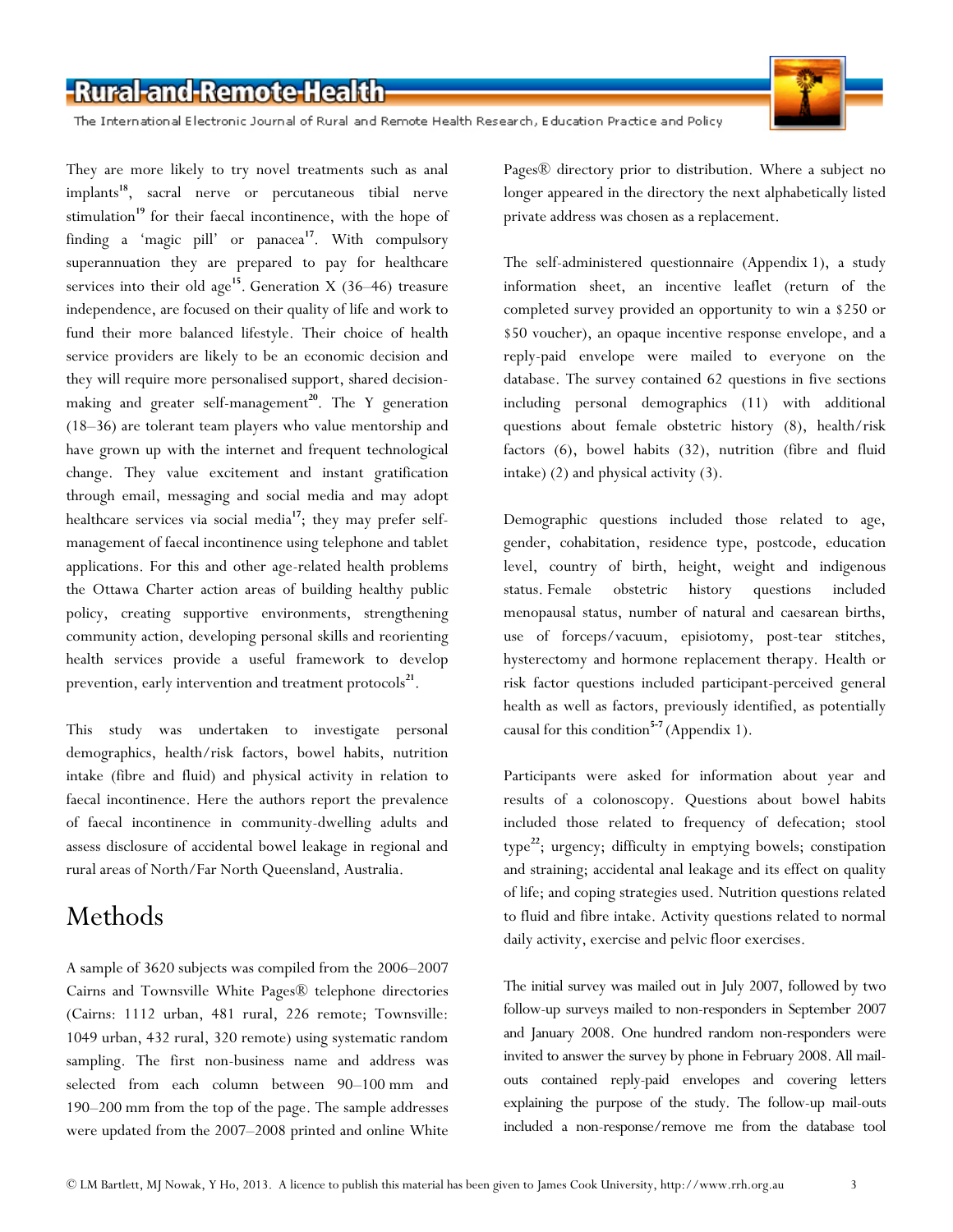The International Electronic Journal of Rural and Remote Health Research, Education Practice and Policy

They are more likely to try novel treatments such as anal implants**[18](http://www.rrh.org.au/articles/subviewnew.asp?ArticleID=2563#cite_note-18)**, sacral nerve or percutaneous tibial nerve stimulation<sup>[19](http://www.rrh.org.au/articles/subviewnew.asp?ArticleID=2563#cite_note-19)</sup> for their faecal incontinence, with the hope of finding a 'magic pill' or panacea**[17](http://www.rrh.org.au/articles/subviewnew.asp?ArticleID=2563#cite_note-17)**. With compulsory superannuation they are prepared to pay for healthcare services into their old age<sup>[15](http://www.rrh.org.au/articles/subviewnew.asp?ArticleID=2563#cite_note-15)</sup>. Generation X (36–46) treasure independence, are focused on their quality of life and work to fund their more balanced lifestyle. Their choice of health service providers are likely to be an economic decision and they will require more personalised support, shared decision-making and greater self-management<sup>[20](http://www.rrh.org.au/articles/subviewnew.asp?ArticleID=2563#cite_note-20)</sup>. The Y generation (18–36) are tolerant team players who value mentorship and have grown up with the internet and frequent technological change. They value excitement and instant gratification through email, messaging and social media and may adopt healthcare services via social media**[17](http://www.rrh.org.au/articles/subviewnew.asp?ArticleID=2563#cite_note-17)**; they may prefer selfmanagement of faecal incontinence using telephone and tablet applications. For this and other age-related health problems the Ottawa Charter action areas of building healthy public policy, creating supportive environments, strengthening community action, developing personal skills and reorienting health services provide a useful framework to develop prevention, early intervention and treatment protocols<sup>[21](http://www.rrh.org.au/articles/subviewnew.asp?ArticleID=2563#cite_note-21)</sup>.

This study was undertaken to investigate personal demographics, health/risk factors, bowel habits, nutrition intake (fibre and fluid) and physical activity in relation to faecal incontinence. Here the authors report the prevalence of faecal incontinence in community-dwelling adults and assess disclosure of accidental bowel leakage in regional and rural areas of North/Far North Queensland, Australia.

## Methods

A sample of 3620 subjects was compiled from the 2006–2007 Cairns and Townsville White Pages® telephone directories (Cairns: 1112 urban, 481 rural, 226 remote; Townsville: 1049 urban, 432 rural, 320 remote) using systematic random sampling. The first non-business name and address was selected from each column between 90–100 mm and 190–200 mm from the top of the page. The sample addresses were updated from the 2007–2008 printed and online White

Pages® directory prior to distribution. Where a subject no longer appeared in the directory the next alphabetically listed private address was chosen as a replacement.

The self-administered questionnaire (Appendix 1), a study information sheet, an incentive leaflet (return of the completed survey provided an opportunity to win a \$250 or \$50 voucher), an opaque incentive response envelope, and a reply-paid envelope were mailed to everyone on the database. The survey contained 62 questions in five sections including personal demographics (11) with additional questions about female obstetric history (8), health/risk factors (6), bowel habits (32), nutrition (fibre and fluid intake) (2) and physical activity (3).

Demographic questions included those related to age, gender, cohabitation, residence type, postcode, education level, country of birth, height, weight and indigenous status. Female obstetric history questions included menopausal status, number of natural and caesarean births, use of forceps/vacuum, episiotomy, post-tear stitches, hysterectomy and hormone replacement therapy. Health or risk factor questions included participant-perceived general health as well as factors, previously identified, as potentially causal for this condition**[5-7](http://www.rrh.org.au/articles/subviewnew.asp?ArticleID=2563#cite_note-5)** (Appendix 1).

Participants were asked for information about year and results of a colonoscopy. Questions about bowel habits included those related to frequency of defecation; stool type**[22](http://www.rrh.org.au/articles/subviewnew.asp?ArticleID=2563#cite_note-22)**; urgency; difficulty in emptying bowels; constipation and straining; accidental anal leakage and its effect on quality of life; and coping strategies used. Nutrition questions related to fluid and fibre intake. Activity questions related to normal daily activity, exercise and pelvic floor exercises.

The initial survey was mailed out in July 2007, followed by two follow-up surveys mailed to non-responders in September 2007 and January 2008. One hundred random non-responders were invited to answer the survey by phone in February 2008. All mailouts contained reply-paid envelopes and covering letters explaining the purpose of the study. The follow-up mail-outs included a non-response/remove me from the database tool

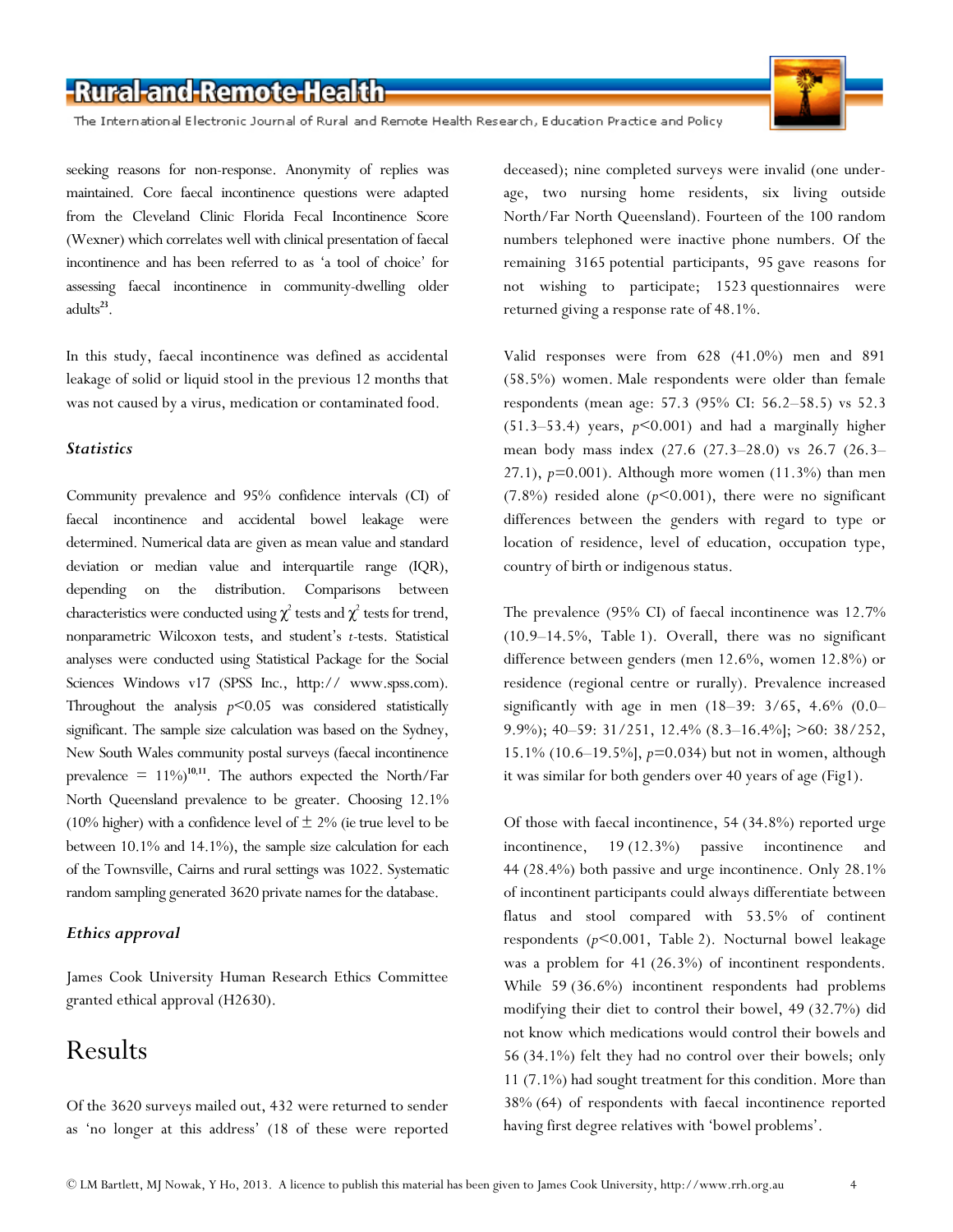The International Electronic Journal of Rural and Remote Health Research, Education Practice and Policy

seeking reasons for non-response. Anonymity of replies was maintained. Core faecal incontinence questions were adapted from the Cleveland Clinic Florida Fecal Incontinence Score (Wexner) which correlates well with clinical presentation of faecal incontinence and has been referred to as 'a tool of choice' for assessing faecal incontinence in community-dwelling older adults**[23](http://www.rrh.org.au/articles/subviewnew.asp?ArticleID=2563#cite_note-23)**.

In this study, faecal incontinence was defined as accidental leakage of solid or liquid stool in the previous 12 months that was not caused by a virus, medication or contaminated food.

#### *Statistics*

Community prevalence and 95% confidence intervals (CI) of faecal incontinence and accidental bowel leakage were determined. Numerical data are given as mean value and standard deviation or median value and interquartile range (IQR), depending on the distribution. Comparisons between characteristics were conducted using  $\chi^2$  tests and  $\chi^2$  tests for trend, nonparametric Wilcoxon tests, and student's *t*-tests. Statistical analyses were conducted using Statistical Package for the Social Sciences Windows v17 (SPSS Inc., http:// www.spss.com). Throughout the analysis *p<*0.05 was considered statistically significant. The sample size calculation was based on the Sydney, New South Wales community postal surveys (faecal incontinence prevalence  $= 11\%$  $= 11\%$  $= 11\%$ <sup>[10](http://www.rrh.org.au/articles/subviewnew.asp?ArticleID=2563#cite_note-10),11</sup>. The authors expected the North/Far North Queensland prevalence to be greater. Choosing 12.1% (10% higher) with a confidence level of  $\pm$  2% (ie true level to be between 10.1% and 14.1%), the sample size calculation for each of the Townsville, Cairns and rural settings was 1022. Systematic random sampling generated 3620 private names for the database.

#### *Ethics approval*

James Cook University Human Research Ethics Committee granted ethical approval (H2630).

## Results

Of the 3620 surveys mailed out, 432 were returned to sender as 'no longer at this address' (18 of these were reported deceased); nine completed surveys were invalid (one underage, two nursing home residents, six living outside North/Far North Queensland). Fourteen of the 100 random numbers telephoned were inactive phone numbers. Of the remaining 3165 potential participants, 95 gave reasons for not wishing to participate; 1523 questionnaires were returned giving a response rate of 48.1%.

Valid responses were from 628 (41.0%) men and 891 (58.5%) women. Male respondents were older than female respondents (mean age: 57.3 (95% CI: 56.2–58.5) vs 52.3 (51.3–53.4) years, *p<*0.001) and had a marginally higher mean body mass index (27.6 (27.3–28.0) vs 26.7 (26.3– 27.1), *p=*0.001). Although more women (11.3%) than men (7.8%) resided alone (*p<*0.001), there were no significant differences between the genders with regard to type or location of residence, level of education, occupation type, country of birth or indigenous status.

The prevalence (95% CI) of faecal incontinence was 12.7% (10.9–14.5%, Table 1). Overall, there was no significant difference between genders (men 12.6%, women 12.8%) or residence (regional centre or rurally). Prevalence increased significantly with age in men  $(18-39: 3/65, 4.6\% (0.0-1.5))$ 9.9%); 40–59: 31/251, 12.4% (8.3–16.4%]; >60: 38/252, 15.1% (10.6–19.5%], *p=*0.034) but not in women, although it was similar for both genders over 40 years of age (Fig1).

Of those with faecal incontinence, 54 (34.8%) reported urge incontinence, 19 (12.3%) passive incontinence and 44 (28.4%) both passive and urge incontinence. Only 28.1% of incontinent participants could always differentiate between flatus and stool compared with 53.5% of continent respondents (*p<*0.001, Table 2). Nocturnal bowel leakage was a problem for 41 (26.3%) of incontinent respondents. While 59 (36.6%) incontinent respondents had problems modifying their diet to control their bowel, 49 (32.7%) did not know which medications would control their bowels and 56 (34.1%) felt they had no control over their bowels; only 11 (7.1%) had sought treatment for this condition. More than 38% (64) of respondents with faecal incontinence reported having first degree relatives with 'bowel problems'.

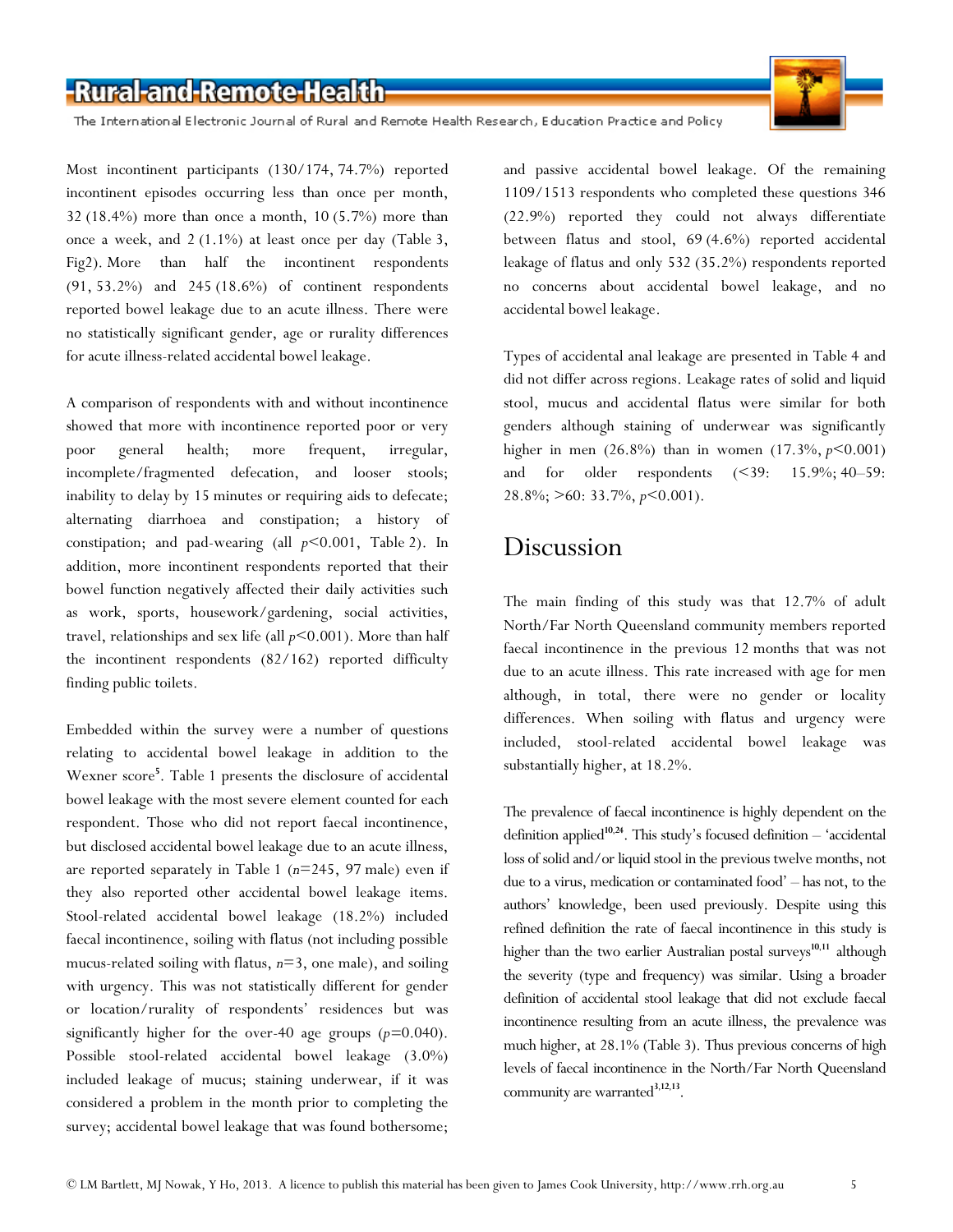

The International Electronic Journal of Rural and Remote Health Research, Education Practice and Policy

Most incontinent participants (130/174, 74.7%) reported incontinent episodes occurring less than once per month, 32 (18.4%) more than once a month, 10 (5.7%) more than once a week, and 2 (1.1%) at least once per day (Table 3, Fig2). More than half the incontinent respondents (91, 53.2%) and 245 (18.6%) of continent respondents reported bowel leakage due to an acute illness. There were no statistically significant gender, age or rurality differences for acute illness-related accidental bowel leakage.

A comparison of respondents with and without incontinence showed that more with incontinence reported poor or very poor general health; more frequent, irregular, incomplete/fragmented defecation, and looser stools; inability to delay by 15 minutes or requiring aids to defecate; alternating diarrhoea and constipation; a history of constipation; and pad-wearing (all *p<*0.001, Table 2). In addition, more incontinent respondents reported that their bowel function negatively affected their daily activities such as work, sports, housework/gardening, social activities, travel, relationships and sex life (all *p<*0.001). More than half the incontinent respondents (82/162) reported difficulty finding public toilets.

Embedded within the survey were a number of questions relating to accidental bowel leakage in addition to the Wexner score**<sup>5</sup>** [.](http://www.rrh.org.au/articles/subviewnew.asp?ArticleID=2563#cite_note-5) Table 1 presents the disclosure of accidental bowel leakage with the most severe element counted for each respondent. Those who did not report faecal incontinence, but disclosed accidental bowel leakage due to an acute illness, are reported separately in Table 1 (*n*=245, 97 male) even if they also reported other accidental bowel leakage items. Stool-related accidental bowel leakage (18.2%) included faecal incontinence, soiling with flatus (not including possible mucus-related soiling with flatus, *n*=3, one male), and soiling with urgency. This was not statistically different for gender or location/rurality of respondents' residences but was significantly higher for the over-40 age groups (*p=*0.040). Possible stool-related accidental bowel leakage (3.0%) included leakage of mucus; staining underwear, if it was considered a problem in the month prior to completing the survey; accidental bowel leakage that was found bothersome;

and passive accidental bowel leakage. Of the remaining 1109/1513 respondents who completed these questions 346 (22.9%) reported they could not always differentiate between flatus and stool, 69 (4.6%) reported accidental leakage of flatus and only 532 (35.2%) respondents reported no concerns about accidental bowel leakage, and no accidental bowel leakage.

Types of accidental anal leakage are presented in Table 4 and did not differ across regions. Leakage rates of solid and liquid stool, mucus and accidental flatus were similar for both genders although staining of underwear was significantly higher in men (26.8%) than in women (17.3%, *p<*0.001) and for older respondents (<39: 15.9%; 40–59: 28.8%; >60: 33.7%, *p<*0.001).

### Discussion

The main finding of this study was that 12.7% of adult North/Far North Queensland community members reported faecal incontinence in the previous 12 months that was not due to an acute illness. This rate increased with age for men although, in total, there were no gender or locality differences. When soiling with flatus and urgency were included, stool-related accidental bowel leakage was substantially higher, at 18.2%.

The prevalence of faecal incontinence is highly dependent on the definition applied**[10](http://www.rrh.org.au/articles/subviewnew.asp?ArticleID=2563#cite_note-10)**,**[24](http://www.rrh.org.au/articles/subviewnew.asp?ArticleID=2563#cite_note-24)**. This study's focused definition – 'accidental loss of solid and/or liquid stool in the previous twelve months, not due to a virus, medication or contaminated food' – has not, to the authors' knowledge, been used previously. Despite using this refined definition the rate of faecal incontinence in this study is higher than the two earlier Australian postal surveys<sup>[10](http://www.rrh.org.au/articles/subviewnew.asp?ArticleID=2563#cite_note-10),[11](http://www.rrh.org.au/articles/subviewnew.asp?ArticleID=2563#cite_note-11)</sup> although the severity (type and frequency) was similar. Using a broader definition of accidental stool leakage that did not exclude faecal incontinence resulting from an acute illness, the prevalence was much higher, at 28.1% (Table 3). Thus previous concerns of high levels of faecal incontinence in the North/Far North Queensland community are warrante[d](http://www.rrh.org.au/articles/subviewnew.asp?ArticleID=2563#cite_note-3)**3**,**[12](http://www.rrh.org.au/articles/subviewnew.asp?ArticleID=2563#cite_note-12)**,**[13](http://www.rrh.org.au/articles/subviewnew.asp?ArticleID=2563#cite_note-13)**.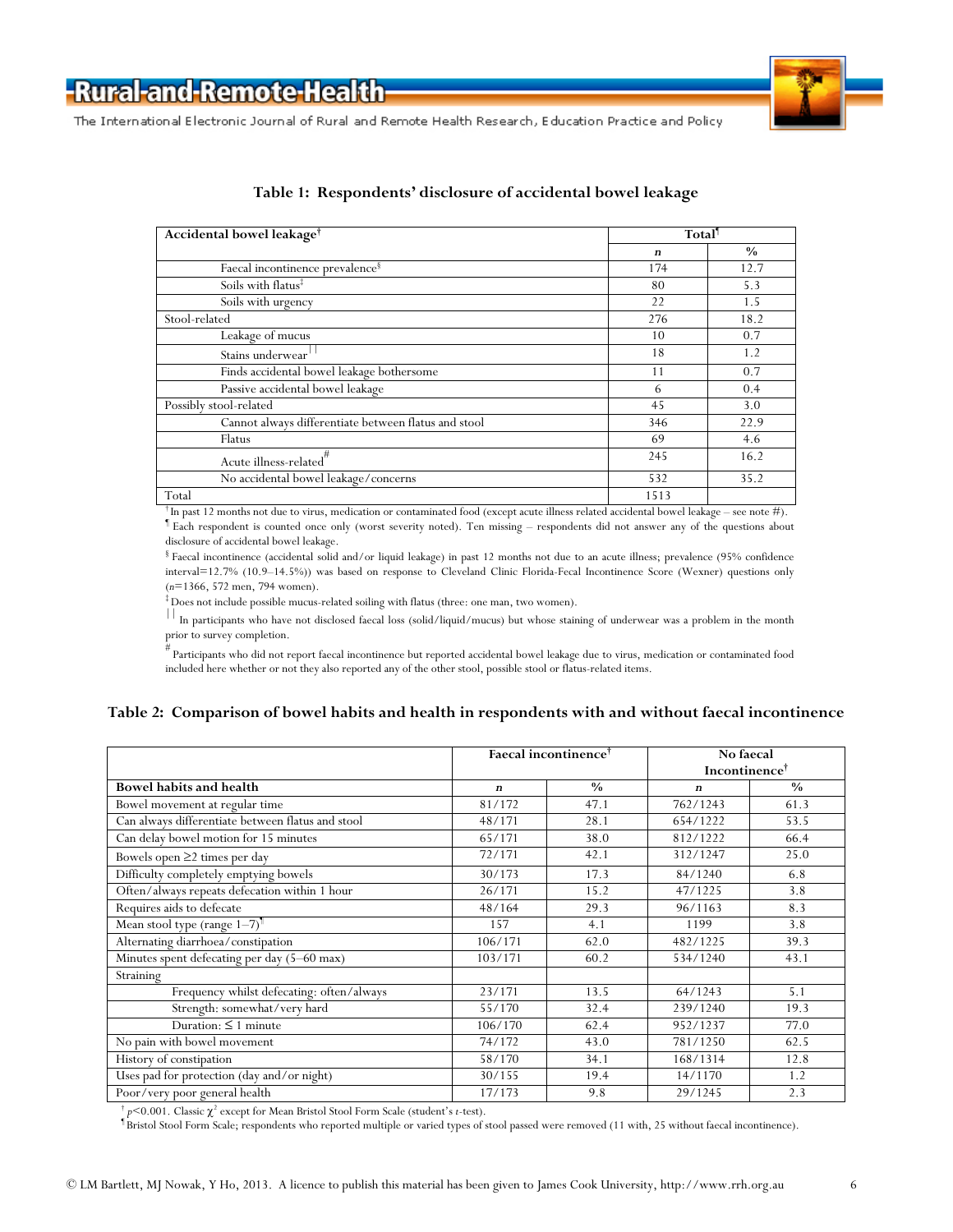



| Accidental bowel leakage <sup>†</sup>                | Total <sup>1</sup> |      |
|------------------------------------------------------|--------------------|------|
|                                                      | $\boldsymbol{n}$   | $\%$ |
| Faecal incontinence prevalence <sup>§</sup>          | 174                | 12.7 |
| Soils with flatus <sup>‡</sup>                       | 80                 | 5.3  |
| Soils with urgency                                   | 22                 | 1.5  |
| Stool-related                                        | 276                | 18.2 |
| Leakage of mucus                                     | 10                 | 0.7  |
| Stains underwear                                     | 18                 | 1.2  |
| Finds accidental bowel leakage bothersome            | 11                 | 0.7  |
| Passive accidental bowel leakage                     | 6                  | 0.4  |
| Possibly stool-related                               | 45                 | 3.0  |
| Cannot always differentiate between flatus and stool | 346                | 22.9 |
| Flatus                                               | 69                 | 4.6  |
| Acute illness-related"                               | 245                | 16.2 |
| No accidental bowel leakage/concerns                 | 532                | 35.2 |
| Total                                                | 1513               |      |

#### **Table 1: Respondents' disclosure of accidental bowel leakage**

 $^\dagger$ In past 12 months not due to virus, medication or contaminated food (except acute illness related accidental bowel leakage – see note #). ¶ Each respondent is counted once only (worst severity noted). Ten missing – respondents did not answer any of the questions about disclosure of accidental bowel leakage.

§ Faecal incontinence (accidental solid and/or liquid leakage) in past 12 months not due to an acute illness; prevalence (95% confidence interval=12.7% (10.9–14.5%)) was based on response to Cleveland Clinic Florida-Fecal Incontinence Score (Wexner) questions only (*n*=1366, 572 men, 794 women).

‡ Does not include possible mucus-related soiling with flatus (three: one man, two women).

 $\frac{1}{10}$  In participants who have not disclosed faecal loss (solid/liquid/mucus) but whose staining of underwear was a problem in the month prior to survey completion.

# Participants who did not report faecal incontinence but reported accidental bowel leakage due to virus, medication or contaminated food included here whether or not they also reported any of the other stool, possible stool or flatus-related items.

#### **Table 2: Comparison of bowel habits and health in respondents with and without faecal incontinence**

|                                                   | Faecal incontinence <sup>†</sup> |               | No faecal<br>Incontinence <sup>†</sup> |               |
|---------------------------------------------------|----------------------------------|---------------|----------------------------------------|---------------|
| <b>Bowel habits and health</b>                    | $\boldsymbol{n}$                 | $\frac{0}{0}$ | $\boldsymbol{n}$                       | $\frac{0}{0}$ |
| Bowel movement at regular time                    | 81/172                           | 47.1          | 762/1243                               | 61.3          |
| Can always differentiate between flatus and stool | 48/171                           | 28.1          | 654/1222                               | 53.5          |
| Can delay bowel motion for 15 minutes             | 65/171                           | 38.0          | 812/1222                               | 66.4          |
| Bowels open $\geq$ 2 times per day                | 72/171                           | 42.1          | 312/1247                               | 25.0          |
| Difficulty completely emptying bowels             | 30/173                           | 17.3          | 84/1240                                | 6.8           |
| Often/always repeats defecation within 1 hour     | 26/171                           | 15.2          | 47/1225                                | 3.8           |
| Requires aids to defecate                         | 48/164                           | 29.3          | 96/1163                                | 8.3           |
| Mean stool type (range 1-7) <sup>1</sup>          | 157                              | 4.1           | 1199                                   | 3.8           |
| Alternating diarrhoea/constipation                | 106/171                          | 62.0          | 482/1225                               | 39.3          |
| Minutes spent defecating per day (5-60 max)       | 103/171                          | 60.2          | 534/1240                               | 43.1          |
| Straining                                         |                                  |               |                                        |               |
| Frequency whilst defecating: often/always         | 23/171                           | 13.5          | 64/1243                                | 5.1           |
| Strength: somewhat/very hard                      | 55/170                           | 32.4          | 239/1240                               | 19.3          |
| Duration: $\leq 1$ minute                         | 106/170                          | 62.4          | 952/1237                               | 77.0          |
| No pain with bowel movement                       | 74/172                           | 43.0          | 781/1250                               | 62.5          |
| History of constipation                           | 58/170                           | 34.1          | 168/1314                               | 12.8          |
| Uses pad for protection (day and/or night)        | 30/155                           | 19.4          | 14/1170                                | 1.2           |
| Poor/very poor general health                     | 17/173                           | 9.8           | 29/1245                                | 2.3           |

<sup>†</sup> *p*<0.001. Classic  $\chi^2$  except for Mean Bristol Stool Form Scale (student's *t*-test).

¶ Bristol Stool Form Scale; respondents who reported multiple or varied types of stool passed were removed (11 with, 25 without faecal incontinence).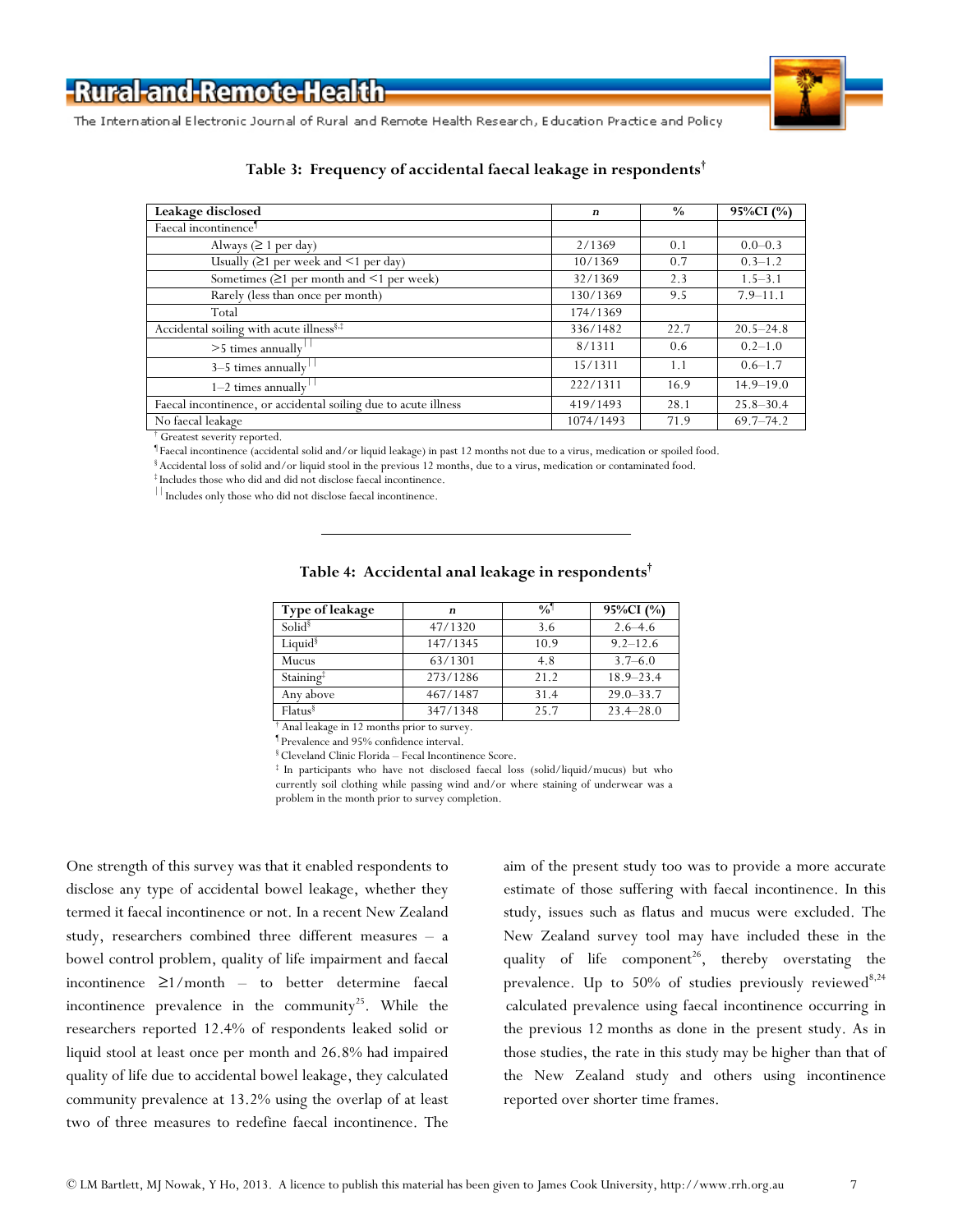

The International Electronic Journal of Rural and Remote Health Research, Education Practice and Policy

| Leakage disclosed                                               | $\boldsymbol{n}$ | $\frac{0}{0}$ | 95%CI (%)     |
|-----------------------------------------------------------------|------------------|---------------|---------------|
| Faecal incontinence <sup>1</sup>                                |                  |               |               |
| Always ( $\geq 1$ per day)                                      | 2/1369           | 0.1           | $0.0 - 0.3$   |
| Usually $(≥1$ per week and $≤1$ per day)                        | 10/1369          | 0.7           | $0.3 - 1.2$   |
| Sometimes $(21$ per month and $\leq 1$ per week)                | 32/1369          | 2.3           | $1.5 - 3.1$   |
| Rarely (less than once per month)                               | 130/1369         | 9.5           | $7.9 - 11.1$  |
| Total                                                           | 174/1369         |               |               |
| Accidental soiling with acute illness <sup>§,‡</sup>            | 336/1482         | 22.7          | $20.5 - 24.8$ |
| $>5$ times annually                                             | 8/1311           | $0.6^{\circ}$ | $0.2 - 1.0$   |
| 3-5 times annually                                              | 15/1311          | 1.1           | $0.6 - 1.7$   |
| $1-2$ times annually                                            | 222/1311         | 16.9          | $14.9 - 19.0$ |
| Faecal incontinence, or accidental soiling due to acute illness | 419/1493         | 28.1          | $25.8 - 30.4$ |
| No faecal leakage                                               | 1074/1493        | 71.9          | $69.7 - 74.2$ |

#### **Table 3: Frequency of accidental faecal leakage in respondents†**

† Greatest severity reported.

¶ Faecal incontinence (accidental solid and/or liquid leakage) in past 12 months not due to a virus, medication or spoiled food. § Accidental loss of solid and/or liquid stool in the previous 12 months, due to a virus, medication or contaminated food.

‡ Includes those who did and did not disclose faecal incontinence.

Includes only those who did not disclose faecal incontinence.

| Type of leakage                            | $\boldsymbol{n}$ | $\frac{0}{0}$ | 95%CI (%)     |
|--------------------------------------------|------------------|---------------|---------------|
| Solid <sup>§</sup>                         | 47/1320          | 3.6           | $2.6 - 4.6$   |
| Liquid $\frac{8}{3}$                       | 147/1345         | 10.9          | $9.2 - 12.6$  |
| Mucus                                      | 63/1301          | 4.8           | $3.7 - 6.0$   |
| Staining <sup>‡</sup>                      | 273/1286         | 21.2          | $18.9 - 23.4$ |
| Any above                                  | 467/1487         | 31.4          | $29.0 - 33.7$ |
| Flatus <sup>§</sup>                        | 347/1348         | 25.7          | $23.4 - 28.0$ |
| Anal leakage in 12 months prior to survey. |                  |               |               |

#### **Table 4: Accidental anal leakage in respondents†**

¶ Prevalence and 95% confidence interval.

 $$Cleveland Clinic Florida – Fecal Incontinence Score.$ <br> $$In participants who have not disclosed faccal loss (solid/liquid/mucus) but who$ currently soil clothing while passing wind and/or where staining of underwear was a problem in the month prior to survey completion.

One strength of this survey was that it enabled respondents to disclose any type of accidental bowel leakage, whether they termed it faecal incontinence or not. In a recent New Zealand study, researchers combined three different measures – a bowel control problem, quality of life impairment and faecal incontinence ≥1/month – to better determine faecal incontinence prevalence in the community<sup>25</sup>. While the researchers reported 12.4% of respondents leaked solid or liquid stool at least once per month and 26.8% had impaired quality of life due to accidental bowel leakage, they calculated community prevalence at 13.2% using the overlap of at least two of three measures to redefine faecal incontinence. The

aim of the present study too was to provide a more accurate estimate of those suffering with faecal incontinence. In this study, issues such as flatus and mucus were excluded. The New Zealand survey tool may have included these in the quality of life component<sup>26</sup>, thereby overstating the prevalence. Up to 50% of studies previously reviewed<sup>[8,](http://www.rrh.org.au/articles/subviewnew.asp?ArticleID=2563#cite_note-8)[24](http://www.rrh.org.au/articles/subviewnew.asp?ArticleID=2563#cite_note-24)</sup> calculated prevalence using faecal incontinence occurring in the previous 12 months as done in the present study. As in those studies, the rate in this study may be higher than that of the New Zealand study and others using incontinence reported over shorter time frames.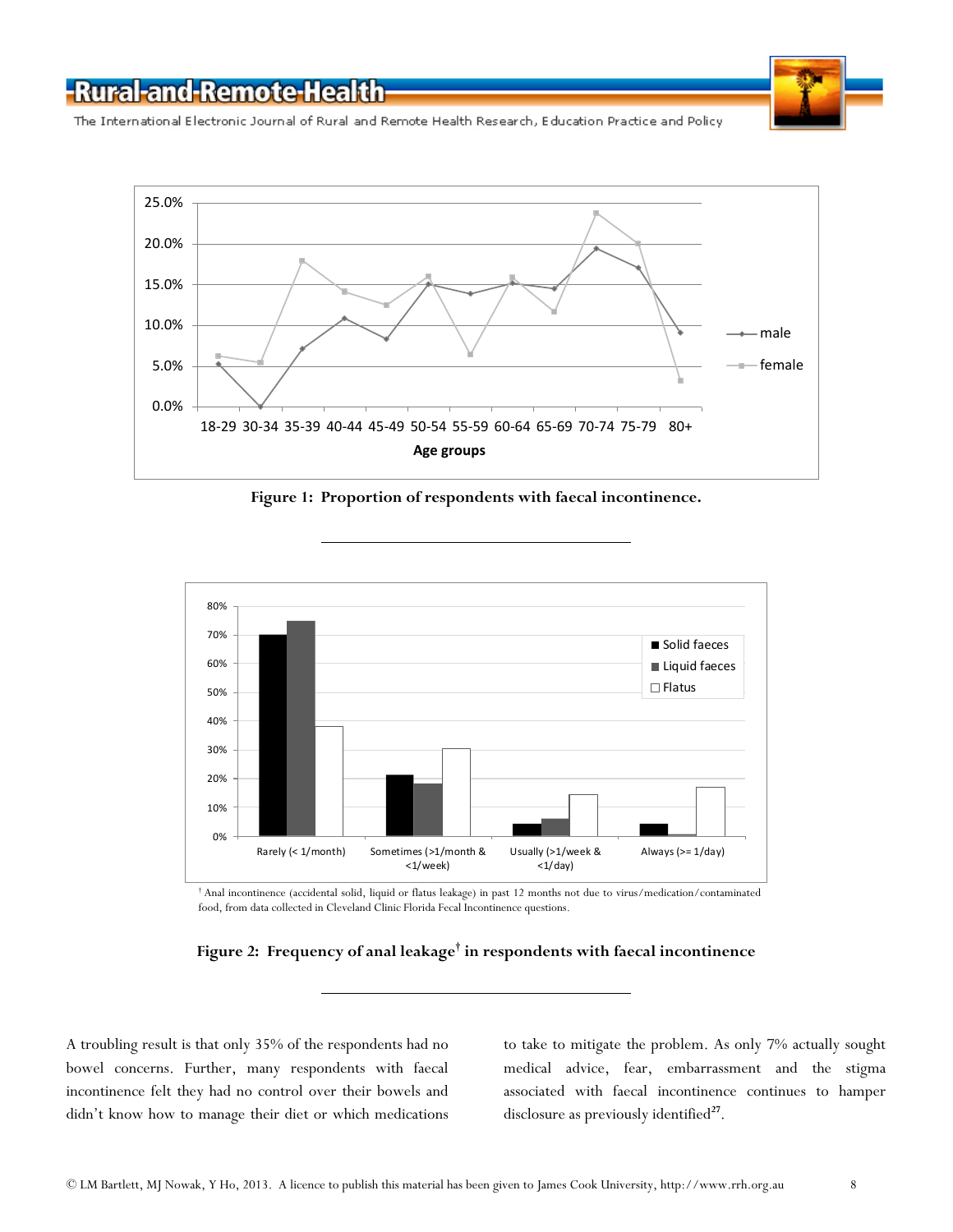

The International Electronic Journal of Rural and Remote Health Research, Education Practice and Policy



**Figure 1: Proportion of respondents with faecal incontinence.**



 $^\dagger$  Anal incontinence (accidental solid, liquid or flatus leakage) in past 12 months not due to virus/medication/contaminated food, from data collected in Cleveland Clinic Florida Fecal Incontinence questions.



A troubling result is that only 35% of the respondents had no bowel concerns. Further, many respondents with faecal incontinence felt they had no control over their bowels and didn't know how to manage their diet or which medications to take to mitigate the problem. As only 7% actually sought medical advice, fear, embarrassment and the stigma associated with faecal incontinence continues to hamper disclosure as previously identified<sup>[27](http://www.rrh.org.au/articles/subviewnew.asp?ArticleID=2563#cite_note-27)</sup>.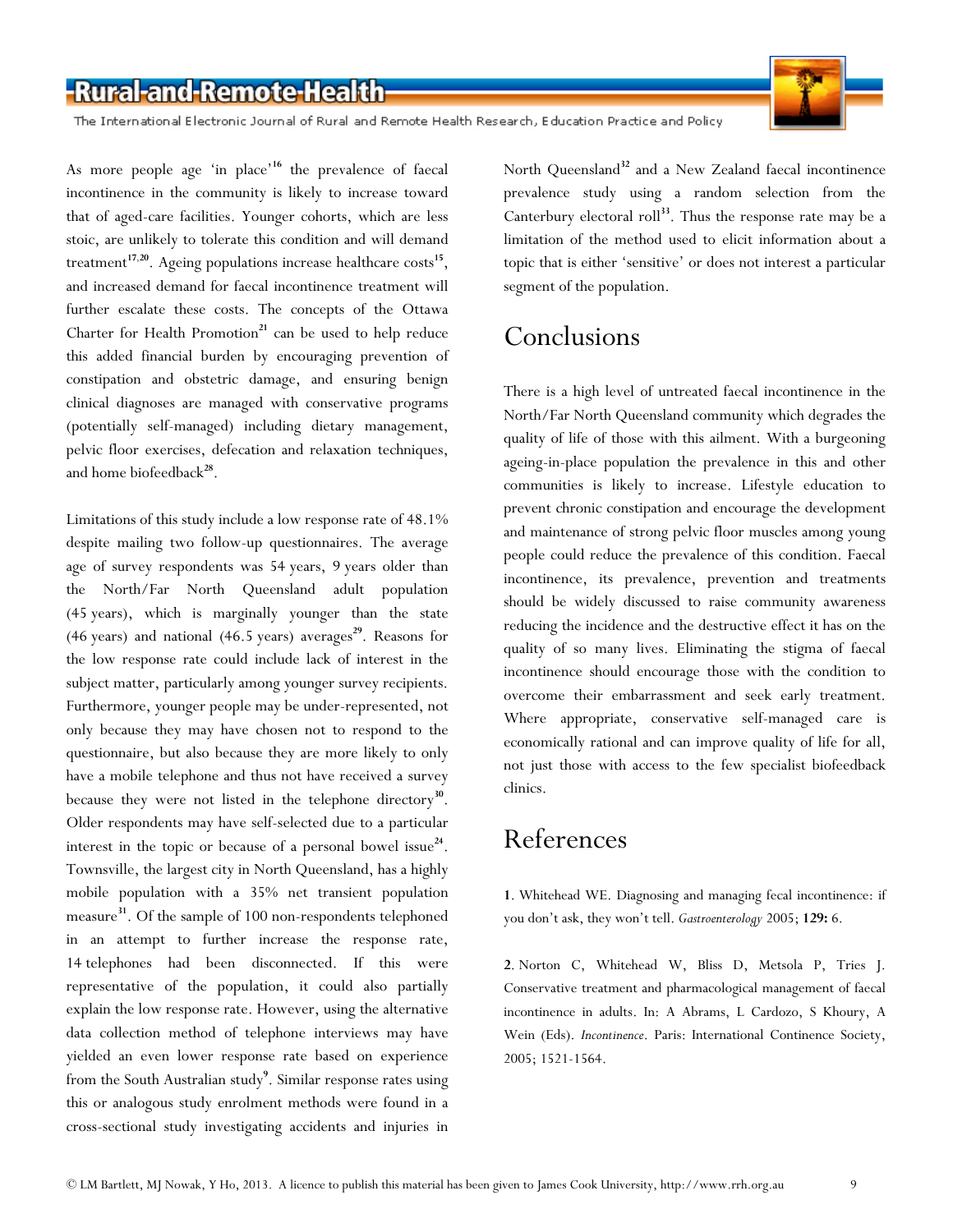The International Electronic Journal of Rural and Remote Health Research, Education Practice and Policy



As more people age 'in place'**[16](http://www.rrh.org.au/articles/subviewnew.asp?ArticleID=2563#cite_note-16)** the prevalence of faecal incontinence in the community is likely to increase toward that of aged-care facilities. Younger cohorts, which are less stoic, are unlikely to tolerate this condition and will demand treatment**[17](http://www.rrh.org.au/articles/subviewnew.asp?ArticleID=2563#cite_note-17)**,**[20](http://www.rrh.org.au/articles/subviewnew.asp?ArticleID=2563#cite_note-20)**. Ageing populations increase healthcare costs**[15](http://www.rrh.org.au/articles/subviewnew.asp?ArticleID=2563#cite_note-15)**, and increased demand for faecal incontinence treatment will further escalate these costs. The concepts of the Ottawa Charter for Health Promotion<sup>[21](http://www.rrh.org.au/articles/subviewnew.asp?ArticleID=2563#cite_note-21)</sup> can be used to help reduce this added financial burden by encouraging prevention of constipation and obstetric damage, and ensuring benign clinical diagnoses are managed with conservative programs (potentially self-managed) including dietary management, pelvic floor exercises, defecation and relaxation techniques, and home biofeedback**[28](http://www.rrh.org.au/articles/subviewnew.asp?ArticleID=2563#cite_note-28)**.

Limitations of this study include a low response rate of 48.1% despite mailing two follow-up questionnaires. The average age of survey respondents was 54 years, 9 years older than the North/Far North Queensland adult population (45 years), which is marginally younger than the state (46 years) and national (46.5 years) averages**[29](http://www.rrh.org.au/articles/subviewnew.asp?ArticleID=2563#cite_note-29)**. Reasons for the low response rate could include lack of interest in the subject matter, particularly among younger survey recipients. Furthermore, younger people may be under-represented, not only because they may have chosen not to respond to the questionnaire, but also because they are more likely to only have a mobile telephone and thus not have received a survey because they were not listed in the telephone directory**[30](http://www.rrh.org.au/articles/subviewnew.asp?ArticleID=2563#cite_note-30)**. Older respondents may have self-selected due to a particular interest in the topic or because of a personal bowel issue $^{24}$  $^{24}$  $^{24}$ . Townsville, the largest city in North Queensland, has a highly mobile population with a 35% net transient population measure**[31](http://www.rrh.org.au/articles/subviewnew.asp?ArticleID=2563#cite_note-31)**. Of the sample of 100 non-respondents telephoned in an attempt to further increase the response rate, 14 telephones had been disconnected. If this were representative of the population, it could also partially explain the low response rate. However, using the alternative data collection method of telephone interviews may have yielded an even lower response rate based on experience from the South Australian study**<sup>9</sup>** [.](http://www.rrh.org.au/articles/subviewnew.asp?ArticleID=2563#cite_note-9) Similar response rates using this or analogous study enrolment methods were found in a cross-sectional study investigating accidents and injuries in

North Queensland**[32](http://www.rrh.org.au/articles/subviewnew.asp?ArticleID=2563#cite_note-32)** and a New Zealand faecal incontinence prevalence study using a random selection from the Canterbury electoral roll**[33](http://www.rrh.org.au/articles/subviewnew.asp?ArticleID=2563#cite_note-33)**. Thus the response rate may be a limitation of the method used to elicit information about a topic that is either 'sensitive' or does not interest a particular segment of the population.

## Conclusions

There is a high level of untreated faecal incontinence in the North/Far North Queensland community which degrades the quality of life of those with this ailment. With a burgeoning ageing-in-place population the prevalence in this and other communities is likely to increase. Lifestyle education to prevent chronic constipation and encourage the development and maintenance of strong pelvic floor muscles among young people could reduce the prevalence of this condition. Faecal incontinence, its prevalence, prevention and treatments should be widely discussed to raise community awareness reducing the incidence and the destructive effect it has on the quality of so many lives. Eliminating the stigma of faecal incontinence should encourage those with the condition to overcome their embarrassment and seek early treatment. Where appropriate, conservative self-managed care is economically rational and can improve quality of life for all, not just those with access to the few specialist biofeedback clinics.

## References

**[1](http://www.rrh.org.au/articles/subviewnew.asp?ArticleID=2563#ref1_cite1)**. Whitehead WE. Diagnosing and managing fecal incontinence: if you don't ask, they won't tell. *Gastroenterology* 2005; **129:** 6.

**[2](http://www.rrh.org.au/articles/subviewnew.asp?ArticleID=2563#ref2_cite2)**. Norton C, Whitehead W, Bliss D, Metsola P, Tries J. Conservative treatment and pharmacological management of faecal incontinence in adults. In: A Abrams, L Cardozo, S Khoury, A Wein (Eds). *Incontinence*. Paris: International Continence Society, 2005; 1521-1564.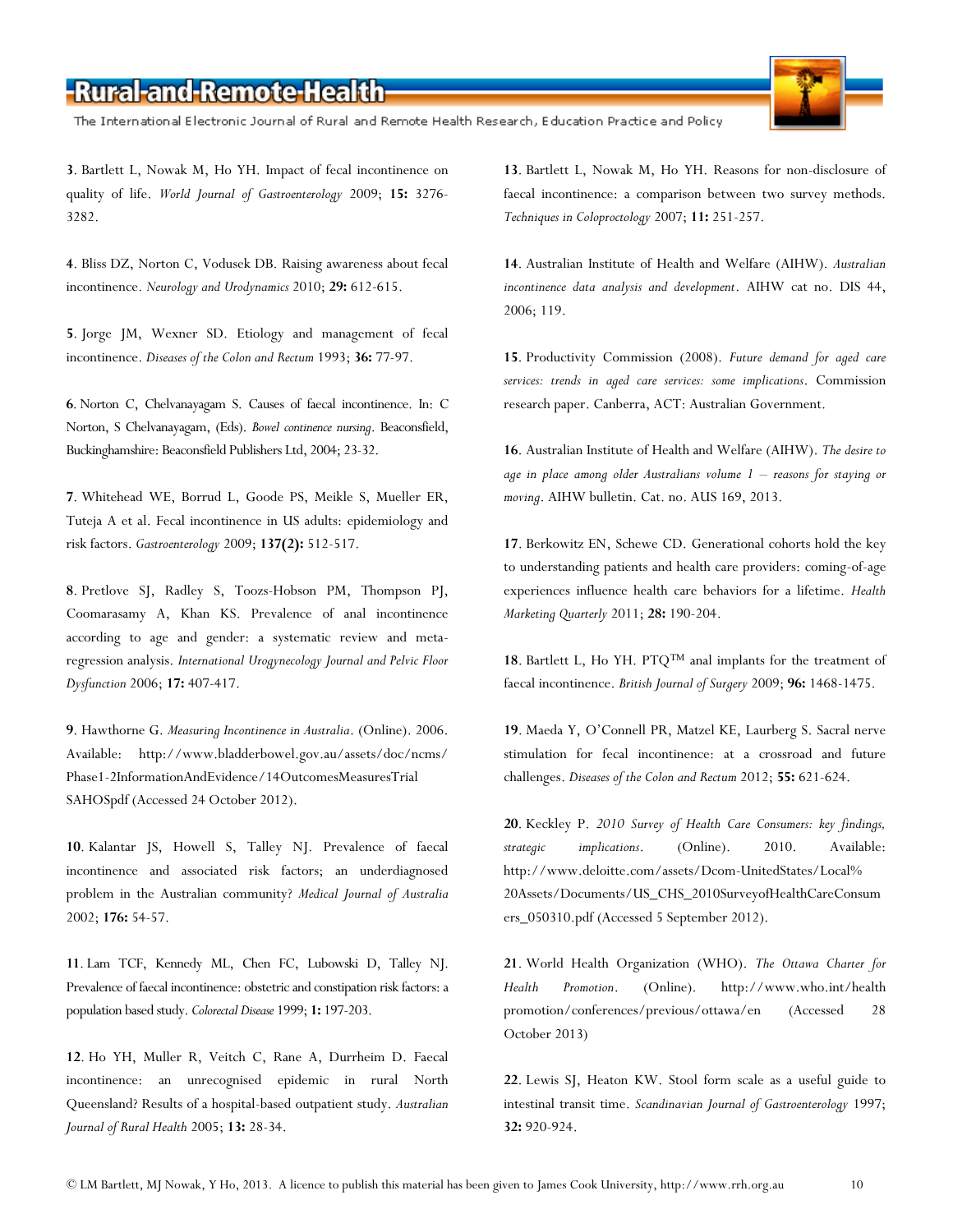The International Electronic Journal of Rural and Remote Health Research, Education Practice and Policy

**[3](http://www.rrh.org.au/articles/subviewnew.asp?ArticleID=2563#ref3_cite3)**. Bartlett L, Nowak M, Ho YH. Impact of fecal incontinence on quality of life. *World Journal of Gastroenterology* 2009; **15:** 3276- 3282.

**[4](http://www.rrh.org.au/articles/subviewnew.asp?ArticleID=2563#ref4_cite4)**. Bliss DZ, Norton C, Vodusek DB. Raising awareness about fecal incontinence. *Neurology and Urodynamics* 2010; **29:** 612-615.

**[5](http://www.rrh.org.au/articles/subviewnew.asp?ArticleID=2563#ref5_cite38)**. Jorge JM, Wexner SD. Etiology and management of fecal incontinence. *Diseases of the Colon and Rectum* 1993; **36:** 77-97.

**[6](http://www.rrh.org.au/articles/subviewnew.asp?ArticleID=2563#ref6_cite6)**. Norton C, Chelvanayagam S. Causes of faecal incontinence. In: C Norton, S Chelvanayagam, (Eds). *Bowel continence nursing*. Beaconsfield, Buckinghamshire: Beaconsfield Publishers Ltd, 2004; 23-32.

**[7](http://www.rrh.org.au/articles/subviewnew.asp?ArticleID=2563#ref7_cite7)**. Whitehead WE, Borrud L, Goode PS, Meikle S, Mueller ER, Tuteja A et al. Fecal incontinence in US adults: epidemiology and risk factors. *Gastroenterology* 2009; **137(2):** 512-517.

**[8](http://www.rrh.org.au/articles/subviewnew.asp?ArticleID=2563#ref8_cite8)**. Pretlove SJ, Radley S, Toozs-Hobson PM, Thompson PJ, Coomarasamy A, Khan KS. Prevalence of anal incontinence according to age and gender: a systematic review and metaregression analysis. *International Urogynecology Journal and Pelvic Floor Dysfunction* 2006; **17:** 407-417.

**[9](http://www.rrh.org.au/articles/subviewnew.asp?ArticleID=2563#ref9_cite9)**. Hawthorne G. *Measuring Incontinence in Australia*. (Online). 2006. Available: <http://www.bladderbowel.gov.au/assets/doc/ncms/> Phase1-2InformationAndEvidence/14OutcomesMeasuresTrial SAHOSpdf (Accessed 24 October 2012).

**[10](http://www.rrh.org.au/articles/subviewnew.asp?ArticleID=2563#ref10_cite10)**. Kalantar JS, Howell S, Talley NJ. Prevalence of faecal incontinence and associated risk factors; an underdiagnosed problem in the Australian community? *Medical Journal of Australia* 2002; **176:** 54-57.

**[11](http://www.rrh.org.au/articles/subviewnew.asp?ArticleID=2563#ref11_cite11)**. Lam TCF, Kennedy ML, Chen FC, Lubowski D, Talley NJ. Prevalence of faecal incontinence: obstetric and constipation risk factors: a population based study. *Colorectal Disease* 1999; **1:** 197-203.

**[12](http://www.rrh.org.au/articles/subviewnew.asp?ArticleID=2563#ref12_cite16)**. Ho YH, Muller R, Veitch C, Rane A, Durrheim D. Faecal incontinence: an unrecognised epidemic in rural North Queensland? Results of a hospital-based outpatient study. *Australian Journal of Rural Health* 2005; **13:** 28-34.

**[13](http://www.rrh.org.au/articles/subviewnew.asp?ArticleID=2563#ref13_cite17)**. Bartlett L, Nowak M, Ho YH. Reasons for non-disclosure of faecal incontinence: a comparison between two survey methods. *Techniques in Coloproctology* 2007; **11:** 251-257.

**[14](http://www.rrh.org.au/articles/subviewnew.asp?ArticleID=2563#ref14_cite18)**. Australian Institute of Health and Welfare (AIHW). *Australian incontinence data analysis and development*. AIHW cat no. DIS 44, 2006; 119.

**[15](http://www.rrh.org.au/articles/subviewnew.asp?ArticleID=2563#ref15_cite19)**. Productivity Commission (2008). *Future demand for aged care services: trends in aged care services: some implications*. Commission research paper. Canberra, ACT: Australian Government.

**[16](http://www.rrh.org.au/articles/subviewnew.asp?ArticleID=2563#ref16_cite20)**. Australian Institute of Health and Welfare (AIHW). *The desire to age in place among older Australians volume 1 – reasons for staying or moving*. AIHW bulletin. Cat. no. AUS 169, 2013.

**[17](http://www.rrh.org.au/articles/subviewnew.asp?ArticleID=2563#ref17_cite22)**. Berkowitz EN, Schewe CD. Generational cohorts hold the key to understanding patients and health care providers: coming-of-age experiences influence health care behaviors for a lifetime. *Health Marketing Quarterly* 2011; **28:** 190-204.

**[18](http://www.rrh.org.au/articles/subviewnew.asp?ArticleID=2563#ref18_cite24)**. Bartlett L, Ho YH. PTQ™ anal implants for the treatment of faecal incontinence. *British Journal of Surgery* 2009; **96:** 1468-1475.

**[19](http://www.rrh.org.au/articles/subviewnew.asp?ArticleID=2563#ref19_cite25)**. Maeda Y, O'Connell PR, Matzel KE, Laurberg S. Sacral nerve stimulation for fecal incontinence: at a crossroad and future challenges. *Diseases of the Colon and Rectum* 2012; **55:** 621-624.

**[20](http://www.rrh.org.au/articles/subviewnew.asp?ArticleID=2563#ref20_cite28)**. Keckley P. *2010 Survey of Health Care Consumers: key findings, strategic implications*. (Online). 2010. Available: [http://www.deloitte.com/assets/Dcom-UnitedStates/Local%](http://www.deloitte.com/assets/Dcom-UnitedStates/Local%25) 20Assets/Documents/US\_CHS\_2010SurveyofHealthCareConsum ers\_050310.pdf (Accessed 5 September 2012).

**[21](http://www.rrh.org.au/articles/subviewnew.asp?ArticleID=2563#ref21_cite30)**. World Health Organization (WHO). *The Ottawa Charter for Health Promotion*. (Online). <http://www.who.int/health> promotion/conferences/previous/ottawa/en (Accessed 28 October 2013)

**[22](http://www.rrh.org.au/articles/subviewnew.asp?ArticleID=2563#ref22_cite34)**. Lewis SJ, Heaton KW. Stool form scale as a useful guide to intestinal transit time. *Scandinavian Journal of Gastroenterology* 1997; **32:** 920-924.

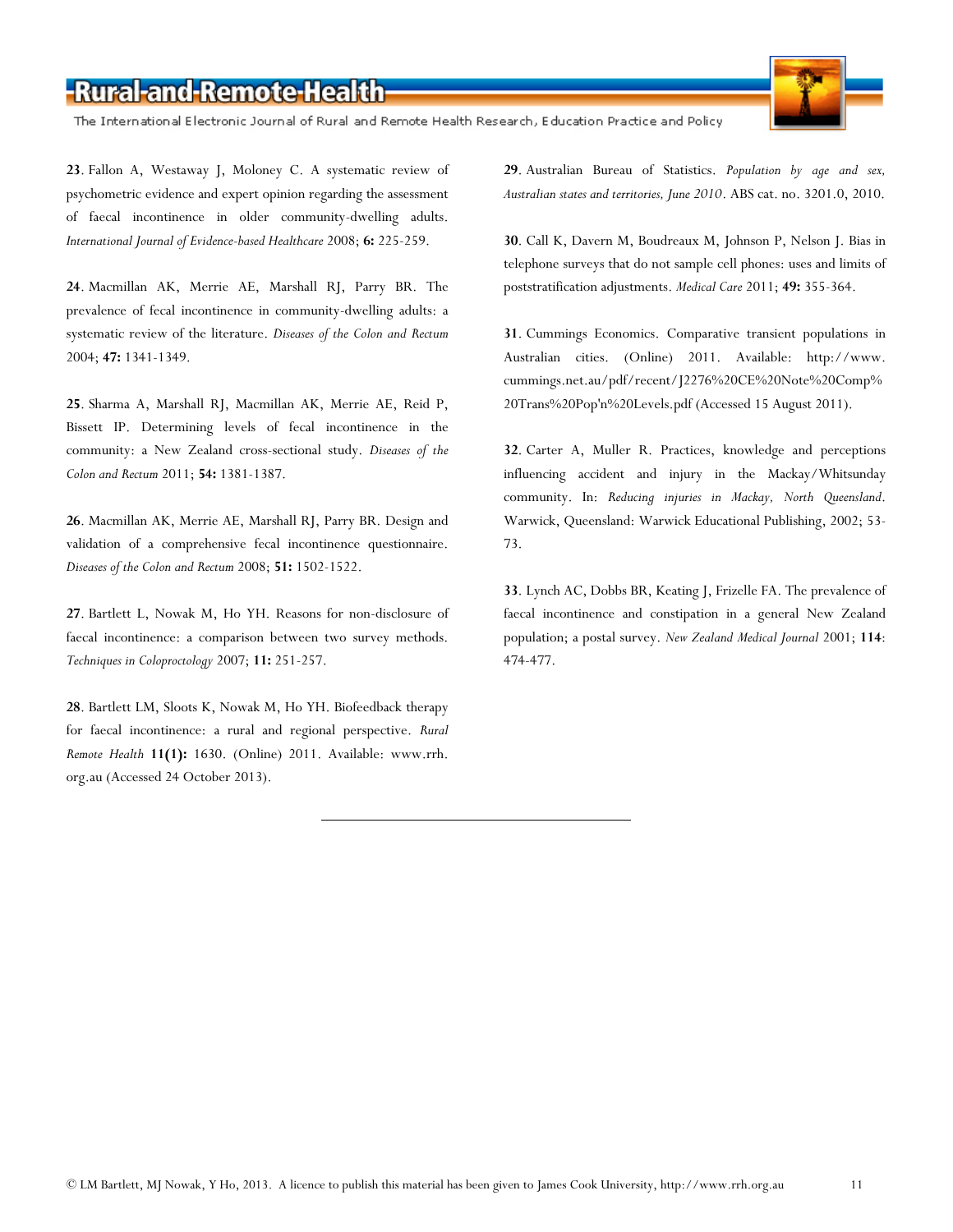The International Electronic Journal of Rural and Remote Health Research, Education Practice and Policy

**[23](http://www.rrh.org.au/articles/subviewnew.asp?ArticleID=2563#ref23_cite35)**. Fallon A, Westaway J, Moloney C. A systematic review of psychometric evidence and expert opinion regarding the assessment of faecal incontinence in older community-dwelling adults. *International Journal of Evidence-based Healthcare* 2008; **6:** 225-259.

**[24](http://www.rrh.org.au/articles/subviewnew.asp?ArticleID=2563#ref24_cite40)**. Macmillan AK, Merrie AE, Marshall RJ, Parry BR. The prevalence of fecal incontinence in community-dwelling adults: a systematic review of the literature. *Diseases of the Colon and Rectum* 2004; **47:** 1341-1349.

**[25](http://www.rrh.org.au/articles/subviewnew.asp?ArticleID=2563#ref25_cite46)**. Sharma A, Marshall RJ, Macmillan AK, Merrie AE, Reid P, Bissett IP. Determining levels of fecal incontinence in the community: a New Zealand cross-sectional study. *Diseases of the Colon and Rectum* 2011; **54:** 1381-1387.

**[26](http://www.rrh.org.au/articles/subviewnew.asp?ArticleID=2563#ref26_cite47)**. Macmillan AK, Merrie AE, Marshall RJ, Parry BR. Design and validation of a comprehensive fecal incontinence questionnaire. *Diseases of the Colon and Rectum* 2008; **51:** 1502-1522.

**[27](http://www.rrh.org.au/articles/subviewnew.asp?ArticleID=2563#ref27_cite50)**. Bartlett L, Nowak M, Ho YH. Reasons for non-disclosure of faecal incontinence: a comparison between two survey methods. *Techniques in Coloproctology* 2007; **11:** 251-257.

**[28](http://www.rrh.org.au/articles/subviewnew.asp?ArticleID=2563#ref28_cite56)**. Bartlett LM, Sloots K, Nowak M, Ho YH. Biofeedback therapy for faecal incontinence: a rural and regional perspective. *Rural Remote Health* **11(1):** 1630. (Online) 2011. Available: [www.rrh.](http://www.rrh/) org.au (Accessed 24 October 2013).

**[29](http://www.rrh.org.au/articles/subviewnew.asp?ArticleID=2563#ref29_cite57)**. Australian Bureau of Statistics. *Population by age and sex, Australian states and territories, June 2010*. ABS cat. no. 3201.0, 2010.

**[30](http://www.rrh.org.au/articles/subviewnew.asp?ArticleID=2563#ref30_cite58)**. Call K, Davern M, Boudreaux M, Johnson P, Nelson J. Bias in telephone surveys that do not sample cell phones: uses and limits of poststratification adjustments. *Medical Care* 2011; **49:** 355-364.

**[31](http://www.rrh.org.au/articles/subviewnew.asp?ArticleID=2563#ref31_cite60)**. Cummings Economics. Comparative transient populations in Australian cities. (Online) 2011. Available: [http://www.](http://www/) cummings.net.au/pdf/recent/J2276%20CE%20Note%20Comp% 20Trans%20Pop'n%20Levels.pdf (Accessed 15 August 2011).

**[32](http://www.rrh.org.au/articles/subviewnew.asp?ArticleID=2563#ref32_cite62)**. Carter A, Muller R. Practices, knowledge and perceptions influencing accident and injury in the Mackay/Whitsunday community. In: *Reducing injuries in Mackay, North Queensland*. Warwick, Queensland: Warwick Educational Publishing, 2002; 53- 73.

**[33](http://www.rrh.org.au/articles/subviewnew.asp?ArticleID=2563#ref33_cite63)**. Lynch AC, Dobbs BR, Keating J, Frizelle FA. The prevalence of faecal incontinence and constipation in a general New Zealand population; a postal survey. *New Zealand Medical Journal* 2001; **114**: 474-477.

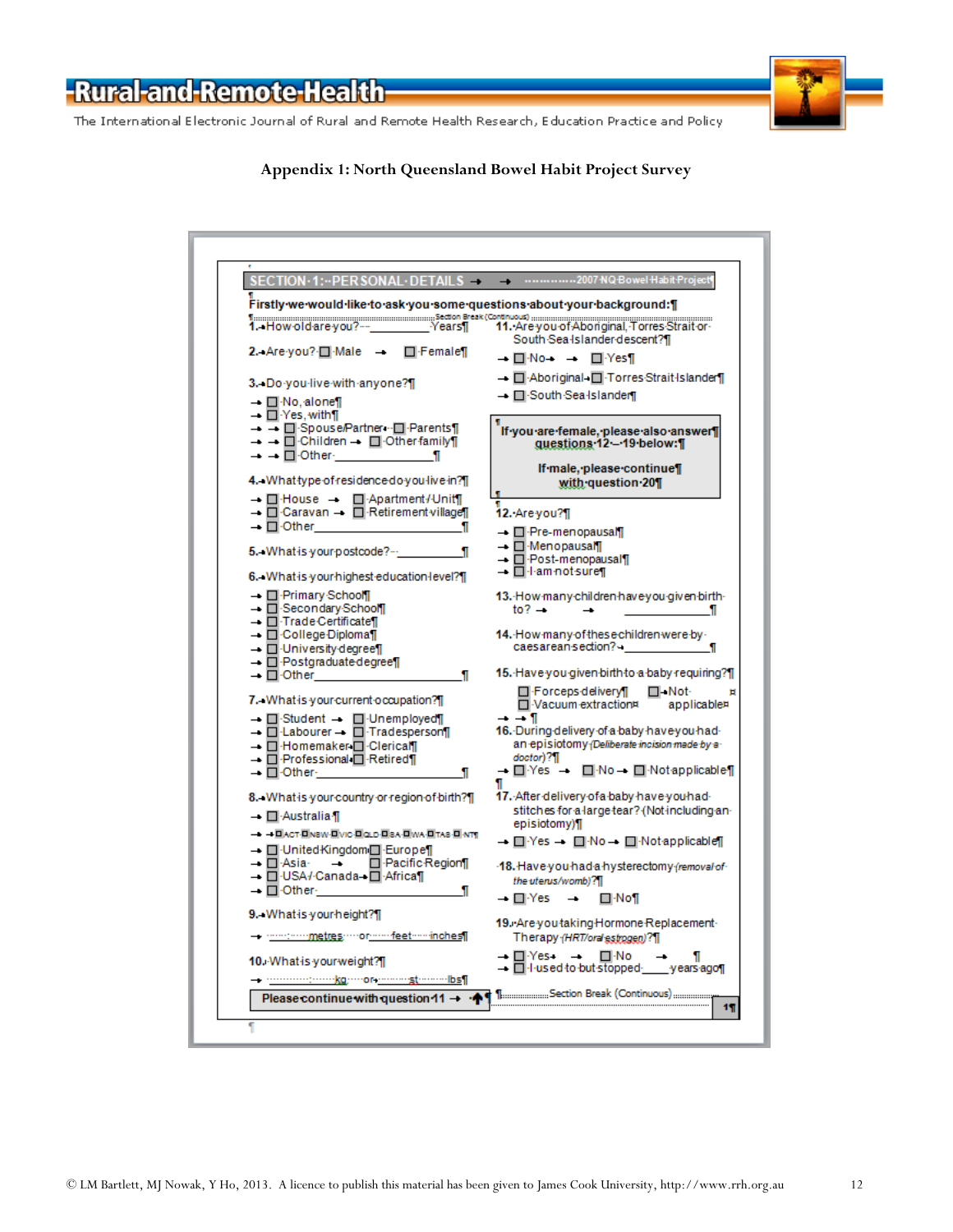The International Electronic Journal of Rural and Remote Health Research, Education Practice and Policy

| SECTION·1: ·· PER SONAL· DETAILS —<br>Firstly we would like to ask you some questions about your background: [                   | - 2007 NQ Bowel Habit Project                                                                |
|----------------------------------------------------------------------------------------------------------------------------------|----------------------------------------------------------------------------------------------|
| action Bresk (Continuous)<br>1. How old are you?--__________Years¶   11. Are you of Aboriginal, Torres Strait or                 |                                                                                              |
| 2. Are you? Π Male —<br>$\Box$ Female $\P$                                                                                       | South Sea Islander descent?][<br>→ □ No→ → □ Yes¶                                            |
|                                                                                                                                  | → □ Aboriginal-□ Torres Strait Islander[]                                                    |
| 3. Do you live with anyone?]                                                                                                     | → □ South Sea Islander                                                                       |
| → □ No. alone¶<br>$ \Box$ Yes, with $\Box$                                                                                       |                                                                                              |
| → → □ Spouse/Partner · □ Parents¶                                                                                                | If you are female, please also answer                                                        |
| $\rightarrow$ $\rightarrow$ $\Box$ Children $\rightarrow$ $\Box$ Other family $\Box$<br>$\rightarrow$ $\rightarrow$ $\Box$ Other | guestions 12 - 19 below: [                                                                   |
|                                                                                                                                  | If male, please continue                                                                     |
| 4. What type of residence do you live in?]                                                                                       | with guestion 201                                                                            |
| $\rightarrow$ $\Box$ House $\rightarrow$ $\Box$ Apartment / Unit<br>→ □ Caravan → □ Retirement village                           | 12. Are you?]                                                                                |
| → □ Other                                                                                                                        |                                                                                              |
|                                                                                                                                  | → □ Pre-menopausal¶<br>→ □ Menopausal¶                                                       |
| 5. What is your postcode?…                                                                                                       | → □ Post-menopausal¶                                                                         |
| 6. What is your highest education level?]                                                                                        | — □ l·am not sure¶                                                                           |
| → □ Primary School                                                                                                               | 13. How many children have you given birth-                                                  |
| → □ Secondary School                                                                                                             | $to^2$ $\rightarrow$                                                                         |
| - <b>I</b> -Trade Certificate II<br>→ □ College Diploma¶                                                                         | 14. How many of these children were by -                                                     |
| → □ University degree¶                                                                                                           | caesarean-section?⊶<br>я                                                                     |
| - <b>I</b> -Postgraduatedegree                                                                                                   |                                                                                              |
| → □ Other<br>П                                                                                                                   | 15. Have you given birth to a baby requiring?                                                |
| 7. What is your current occupation?]                                                                                             | <b>□</b> Forceps delivery¶<br>□ Not-<br>□ Vacuum extraction¤<br>applicable#                  |
| → □ Student → □ Unemployed¶                                                                                                      | — — ¶                                                                                        |
| $\blacksquare$ Labourer $\blacksquare$ Tradesperson                                                                              | 16. During delivery of a baby have you had-<br>an-episiotomy-(Deliberate-incision-made-by-a- |
| → □ Homemaker □ Clerical<br>→ □ Professional □ Retired¶                                                                          | doctor)?¶                                                                                    |
| → □ Other                                                                                                                        | → □ Yes → □ No → □ Notapplicable                                                             |
| 8. What is your country or region of birth?]                                                                                     | Π<br>17. After delivery of a baby have you had-                                              |
|                                                                                                                                  | stitches for a large tear? (Not including an-                                                |
| → □ Australia ¶                                                                                                                  | episiotomy)¶                                                                                 |
| → → ПАСТ-ПNSW-ПVIC-ПQLD-ПSA-ПWA-ПTAS-П-NT¶<br>→ □ United Kingdom □ Europe¶                                                       | — □ Yes —   □ No —  □ Not applicable∏                                                        |
| → □·Asia· →<br>$\Box$ -Pacific-Region                                                                                            | -18. Have you had a hysterectomy (removal of                                                 |
| → □·USA/·Canada→ □·Africa¶                                                                                                       | the uterus/womb)?\\                                                                          |
| $\rightarrow$ $\Box$ Other                                                                                                       | → ⊟·Yes →<br>⊟ No¶                                                                           |
| 9. What is your height?]                                                                                                         | 19. Are you taking Hormone Replacement -                                                     |
| - - -------------metres; ---- or-------feet-----inches¶                                                                          | Therapy (HRT/oral estrogen)?                                                                 |
| 10. What is your weight? [                                                                                                       | — ⊟·Yes →<br>⊟∙No<br>— □ l·used to but stopped _____ years ago¶                              |
|                                                                                                                                  |                                                                                              |
| Please continue with question 11 $\rightarrow \cdot \spadesuit$                                                                  |                                                                                              |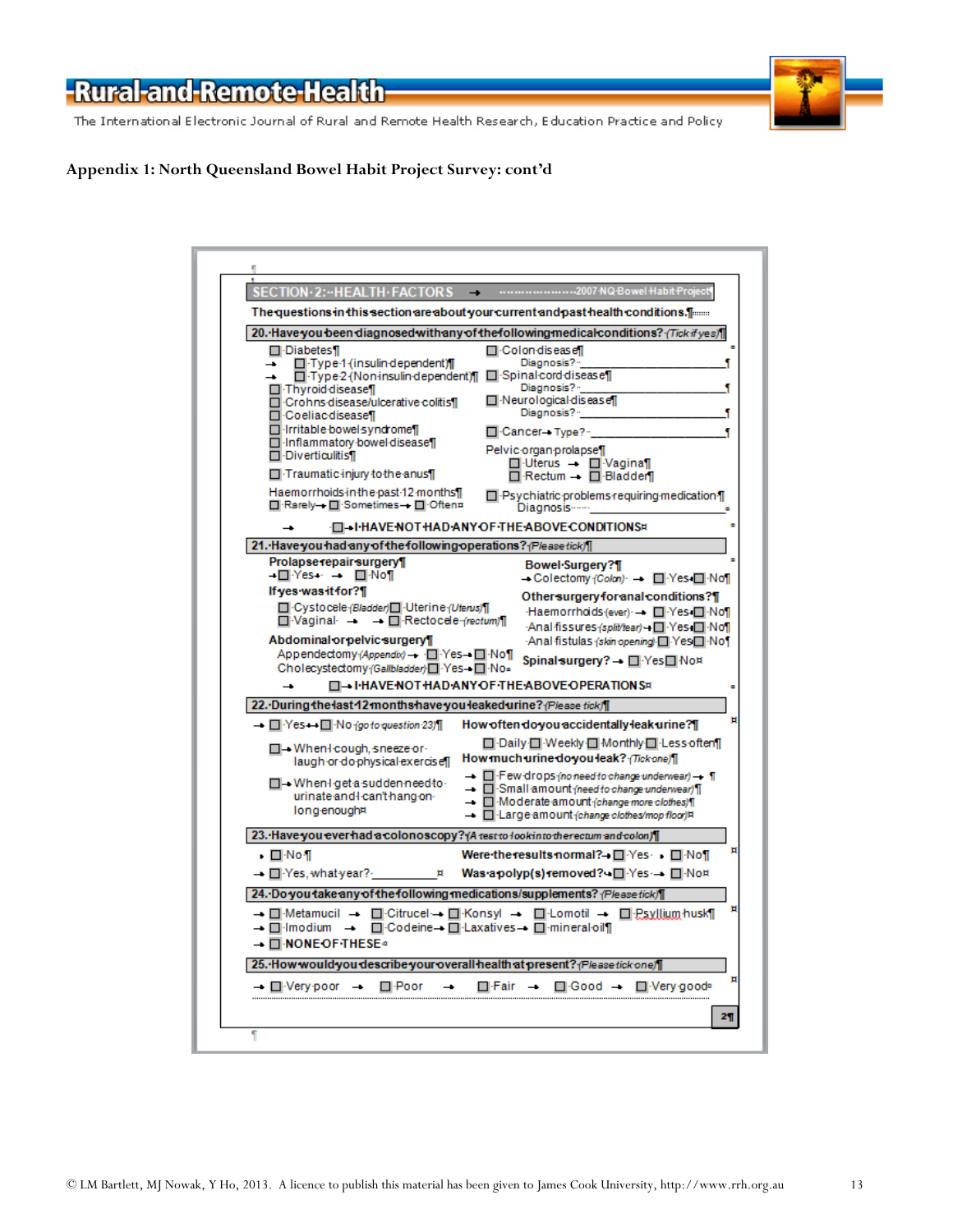The International Electronic Journal of Rural and Remote Health Research, Education Practice and Policy

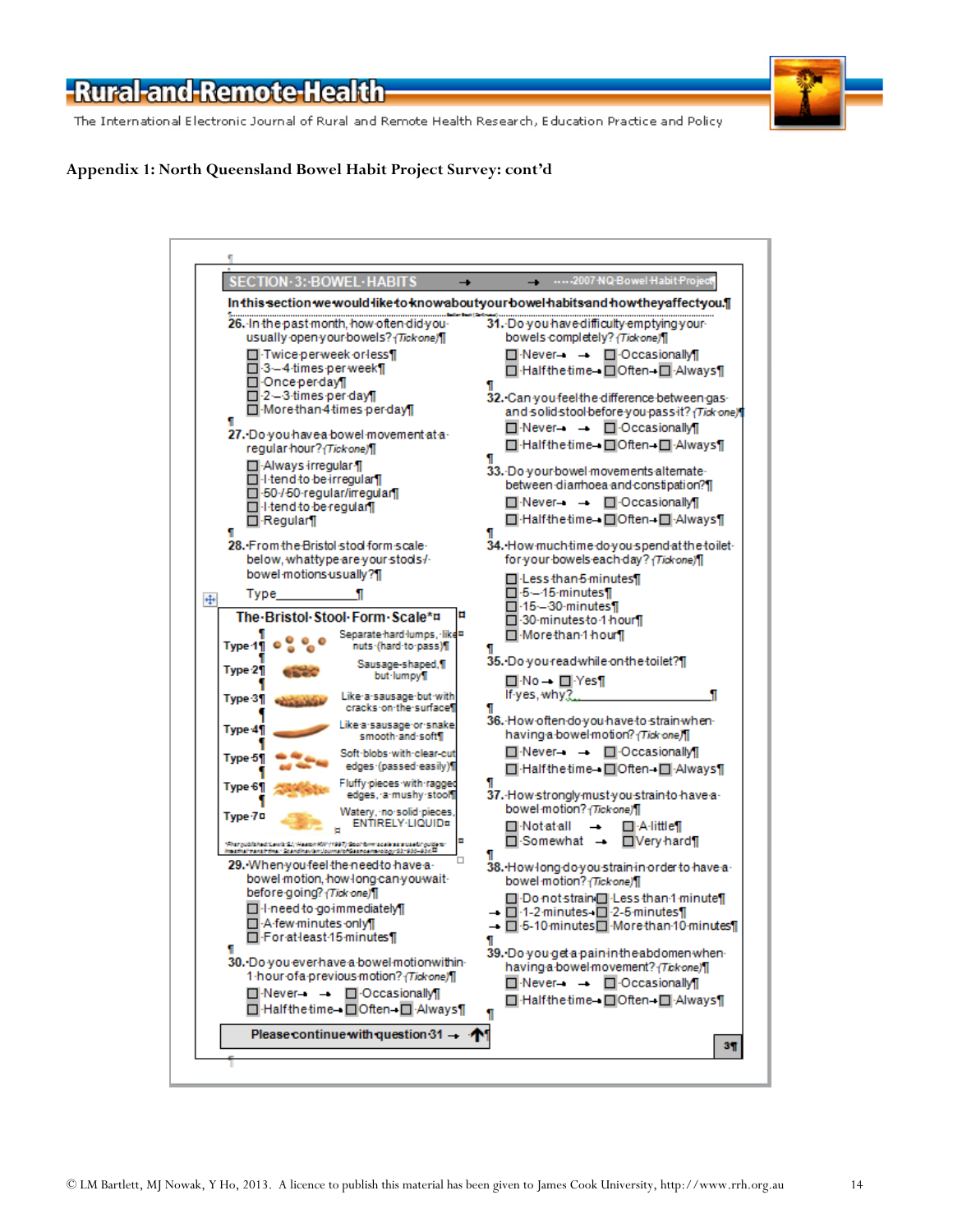The International Electronic Journal of Rural and Remote Health Research, Education Practice and Policy



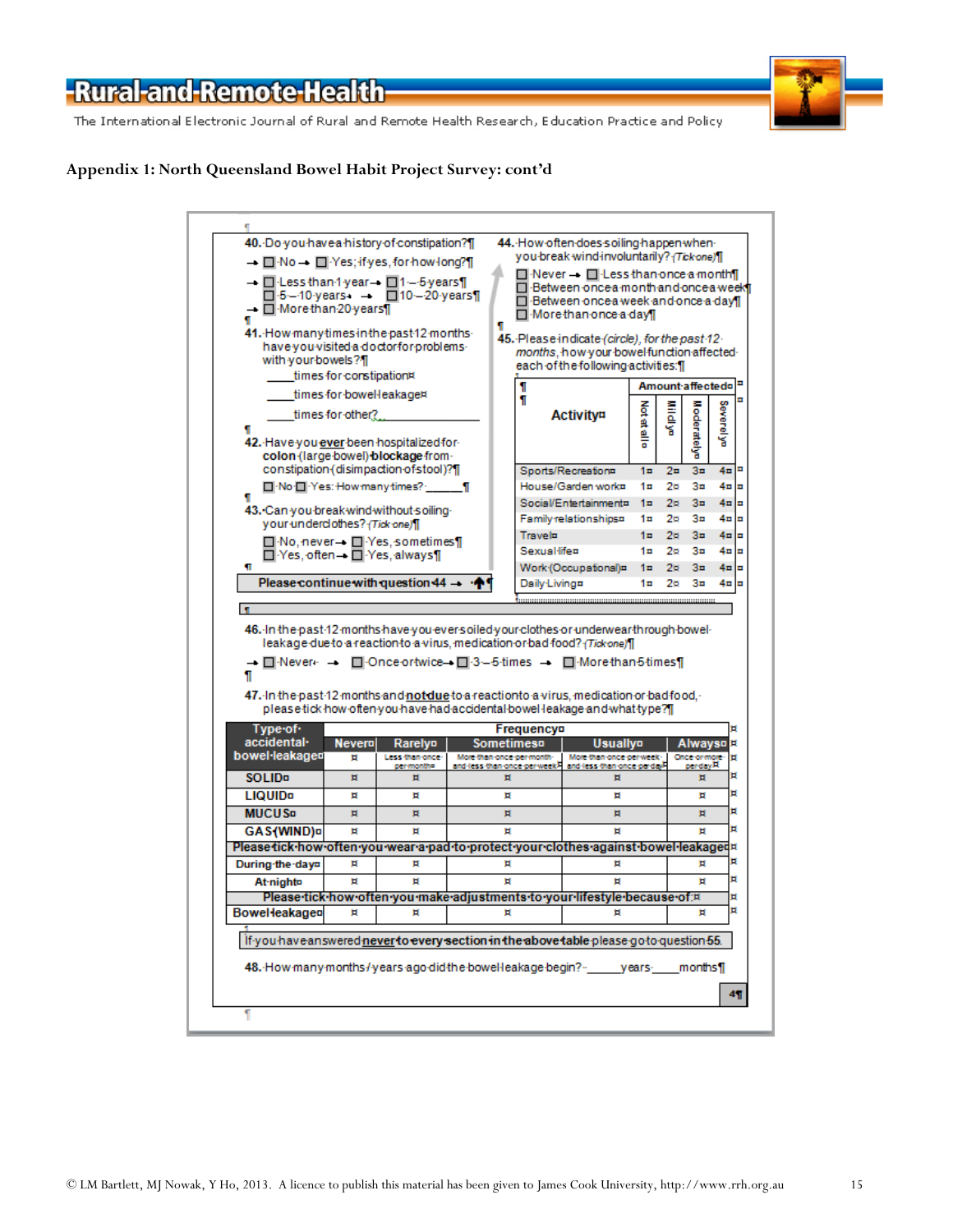The International Electronic Journal of Rural and Remote Health Research, Education Practice and Policy



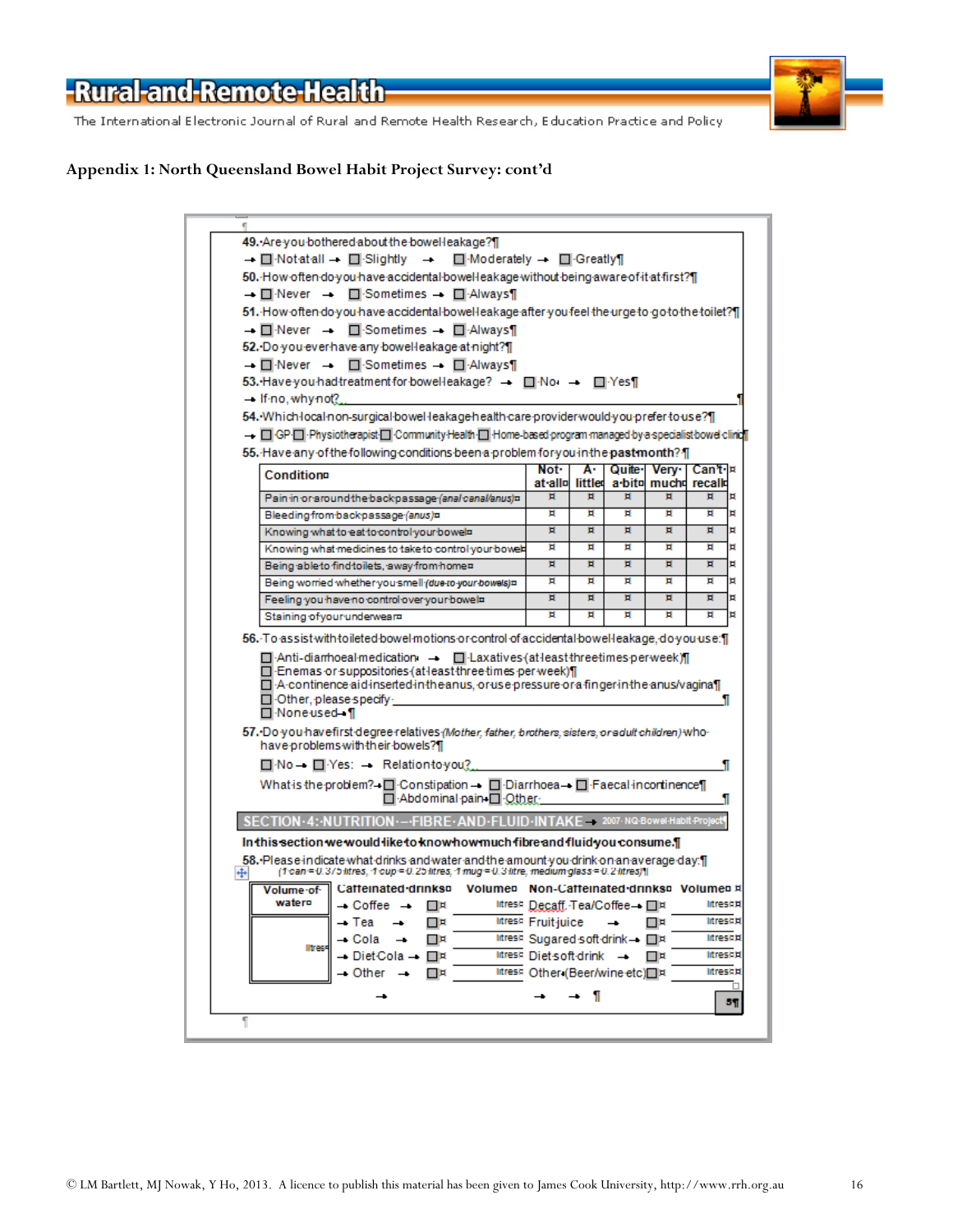The International Electronic Journal of Rural and Remote Health Research, Education Practice and Policy



| ٢                                                                                                                                                                                                                                                                                                       |                                     |    |        |                                     |                                  |
|---------------------------------------------------------------------------------------------------------------------------------------------------------------------------------------------------------------------------------------------------------------------------------------------------------|-------------------------------------|----|--------|-------------------------------------|----------------------------------|
| 49. Are you bothered about the bowel leakage?]                                                                                                                                                                                                                                                          |                                     |    |        |                                     |                                  |
| $\Box$ Moderately $\rightarrow$ $\Box$ Greatly<br>→ □ Notatall → □ Slightly →                                                                                                                                                                                                                           |                                     |    |        |                                     |                                  |
| 50. How often do you have accidental bowel leakage without being aware of it at first?]                                                                                                                                                                                                                 |                                     |    |        |                                     |                                  |
| → □ Never → □ Sometimes → □ Always                                                                                                                                                                                                                                                                      |                                     |    |        |                                     |                                  |
| 51. How often do you have accidental bowel leakage after you feel the urge to go to the toilet?]                                                                                                                                                                                                        |                                     |    |        |                                     |                                  |
| → □ Never → □ Sometimes → □ Always¶                                                                                                                                                                                                                                                                     |                                     |    |        |                                     |                                  |
| 52. Do you ever have any bowell eakage at night?]                                                                                                                                                                                                                                                       |                                     |    |        |                                     |                                  |
| → ONever → OSometimes → ONEXAlways                                                                                                                                                                                                                                                                      |                                     |    |        |                                     |                                  |
| 53. Have you had treatment for bowell eakage? - <b>No</b> - <b>No</b> - <b>No</b>                                                                                                                                                                                                                       |                                     |    |        |                                     |                                  |
| $-$ If-no, why not?                                                                                                                                                                                                                                                                                     |                                     |    |        |                                     |                                  |
| 54. Which local non-surgical bowel leakage health care provider would you prefer to use?[1]                                                                                                                                                                                                             |                                     |    |        |                                     |                                  |
| - GP-O-Physiotherapist-O-Community-Health-O-Home-based program managed by a specialist bowel clinic                                                                                                                                                                                                     |                                     |    |        |                                     |                                  |
|                                                                                                                                                                                                                                                                                                         |                                     |    |        |                                     |                                  |
| 55. Have any of the following conditions been a problem for you in the pastmonth? [1]                                                                                                                                                                                                                   |                                     |    |        |                                     |                                  |
| Conditiona                                                                                                                                                                                                                                                                                              | Not <sup>.</sup><br>at allo littled | A٠ | Quite- | Very l                              | Can't∙l¤<br>a bito mucho recallo |
| Pain in or around the backpassage (anal canal/anus)¤                                                                                                                                                                                                                                                    | Ħ                                   | Ħ  | π      | Ħ                                   | Ħ<br>Ħ                           |
| Bleeding from backpassage (anus)=                                                                                                                                                                                                                                                                       | Ħ                                   | Ħ  | Ħ      | Ħ                                   | Ħ<br>Ħ                           |
| Knowing what to eat to control your bowels                                                                                                                                                                                                                                                              | Ħ                                   | Ħ  | Ħ      | Ħ                                   | Ħ<br>Ħ                           |
| Knowing what medicines to take to control your bowels                                                                                                                                                                                                                                                   | Ħ                                   | Ħ  | Ħ      | Ħ                                   | Ħ<br>Ħ                           |
| Being able to find toilets, away from home=                                                                                                                                                                                                                                                             | Ħ                                   | п  | Ħ      | Ħ                                   | Ħ<br>Ħ                           |
| Being worried whether you smell (due to your bowels)=                                                                                                                                                                                                                                                   | Ħ                                   | Ħ  | Ħ      | п                                   | Ħ<br>Ħ                           |
|                                                                                                                                                                                                                                                                                                         |                                     |    |        |                                     |                                  |
|                                                                                                                                                                                                                                                                                                         | Ħ                                   | Ħ  | Ħ      | Ħ                                   | Ħ<br>Ħ                           |
| Feeling you have no control over your bowels                                                                                                                                                                                                                                                            | Ħ                                   | Ħ  | Ħ      | Ħ                                   | Ħ<br>ъ                           |
| Staining of your underwears<br>56. To assist with toileted bowel motions or control of accidental bowel leakage, do you use: []                                                                                                                                                                         |                                     |    |        |                                     |                                  |
| □ Anti-diamhoeal medication → □ Laxatives (at least three times per week) / [<br>□ Enemas or suppositories (at least three times per week)   <br>$\Box$ A continence aid inserted in the anus, or use pressure or a finger in the anus/vagina $\P$<br>□ Other, please specify ·<br><b>□ None used</b> 1 |                                     |    |        |                                     | ı                                |
| -57. Do you have first degree relatives (Mother, father, brothers, sisters, or adult children) who<br>have problems with their bowels?][                                                                                                                                                                |                                     |    |        |                                     |                                  |
| $\Box$ No $\Box$ Yes: $\Box$ Relation to you?                                                                                                                                                                                                                                                           |                                     |    |        |                                     | 1                                |
| What is the problem?→□ Constipation → □ Diarrhoea → □ Faecal incortinence<br>□ Abdominal pain □ Other                                                                                                                                                                                                   |                                     |    |        |                                     | 1                                |
| ND-FI UID                                                                                                                                                                                                                                                                                               |                                     |    |        | -INTAKF 2007-NQ-Bowel-Habit-Project |                                  |
|                                                                                                                                                                                                                                                                                                         |                                     |    |        |                                     |                                  |
| In this section we would like to know how much fibre and fluid you consume.¶                                                                                                                                                                                                                            |                                     |    |        |                                     |                                  |
| 58. Please indicate what drinks and water and the amount you drink on an average day. I<br>(1 can = 0.3/5 litres, 1 cup = 0.25 litres, 1 mug = 0.3 litre, medium glass = 0.2 litres)   <br>₩                                                                                                            |                                     |    |        |                                     |                                  |
| Catteinated drinks¤ Volume¤ Non-Catteinated drinks¤ Volume¤ ¤<br>Volume of                                                                                                                                                                                                                              |                                     |    |        |                                     |                                  |
| water¤<br>— Coffee —<br>口耳                                                                                                                                                                                                                                                                              | litres¤ Decaff.-Tea/Coffee→ II¤     |    |        |                                     | <b>litreshit</b>                 |
| – Tea<br>⊡¤                                                                                                                                                                                                                                                                                             | Itres¤ Fruit-juice                  |    |        | ⊡¤                                  | litreshti                        |
| - Cola<br>⊡¤                                                                                                                                                                                                                                                                                            | litresh Sugared soft-drink-         |    |        |                                     | litresa¤                         |
| <b>Iltres</b><br>– DietCola –<br>¤⊡                                                                                                                                                                                                                                                                     | Intres¤ Diet-soft-drink -           |    |        | ¤⊡                                  | <b>Intrescipt</b>                |
| $-$ Other $-$<br>⊡¤                                                                                                                                                                                                                                                                                     | litres¤ Other (Beer/wine-etc)□¤     |    |        |                                     | <b>Intres¤¤</b>                  |
|                                                                                                                                                                                                                                                                                                         |                                     |    |        |                                     |                                  |
|                                                                                                                                                                                                                                                                                                         |                                     | 1  |        |                                     | 5¶                               |